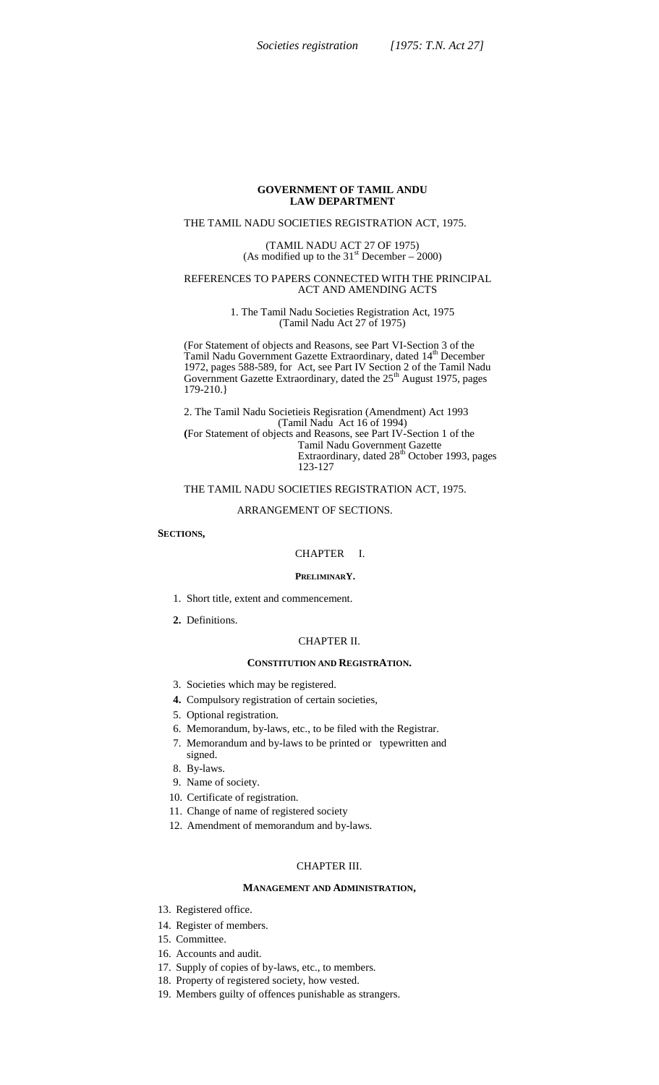## **GOVERNMENT OF TAMIL ANDU LAW DEPARTMENT**

# THE TAMIL NADU SOCIETIES REGISTRATlON ACT, 1975.

(TAMIL NADU ACT 27 OF 1975) (As modified up to the  $31<sup>st</sup>$  December – 2000)

#### REFERENCES TO PAPERS CONNECTED WITH THE PRINCIPAL ACT AND AMENDING ACTS

1. The Tamil Nadu Societies Registration Act, 1975 (Tamil Nadu Act 27 of 1975)

(For Statement of objects and Reasons, see Part VI-Section 3 of the Tamil Nadu Government Gazette Extraordinary, dated 14<sup>th</sup> December 1972, pages 588-589, for Act, see Part IV Section 2 of the Tamil Nadu Government Gazette Extraordinary, dated the  $25<sup>th</sup>$  August 1975, pages 179-210.}

2. The Tamil Nadu Societieis Regisration (Amendment) Act 1993 (Tamil Nadu Act 16 of 1994) **(**For Statement of objects and Reasons, see Part IV-Section 1 of the Tamil Nadu Government Gazette Extraordinary, dated 28<sup>th</sup> October 1993, pages 123-127

## THE TAMIL NADU SOCIETIES REGISTRATlON ACT, 1975.

# ARRANGEMENT OF SECTIONS.

#### **SECTIONS,**

## CHAPTER I.

#### **PRELIMINARY.**

- 1. Short title, extent and commencement.
- **2.** Definitions.

### CHAPTER II.

## **CONSTITUTION AND REGISTRATION.**

- 3. Societies which may be registered.
- **4.** Compulsory registration of certain societies,
- 5. Optional registration.
- 6. Memorandum, by-laws, etc., to be filed with the Registrar.
- 7. Memorandum and by-laws to be printed or typewritten and signed.
- 8. By-laws.
- 9. Name of society.
- 10. Certificate of registration.
- 11. Change of name of registered society
- 12. Amendment of memorandum and by-laws.

## CHAPTER III.

#### **MANAGEMENT AND ADMINISTRATION,**

- 13. Registered office.
- 14. Register of members.
- 15. Committee.
- 16. Accounts and audit.
- 17. Supply of copies of by-laws, etc., to members.
- 18. Property of registered society, how vested.
- 19. Members guilty of offences punishable as strangers.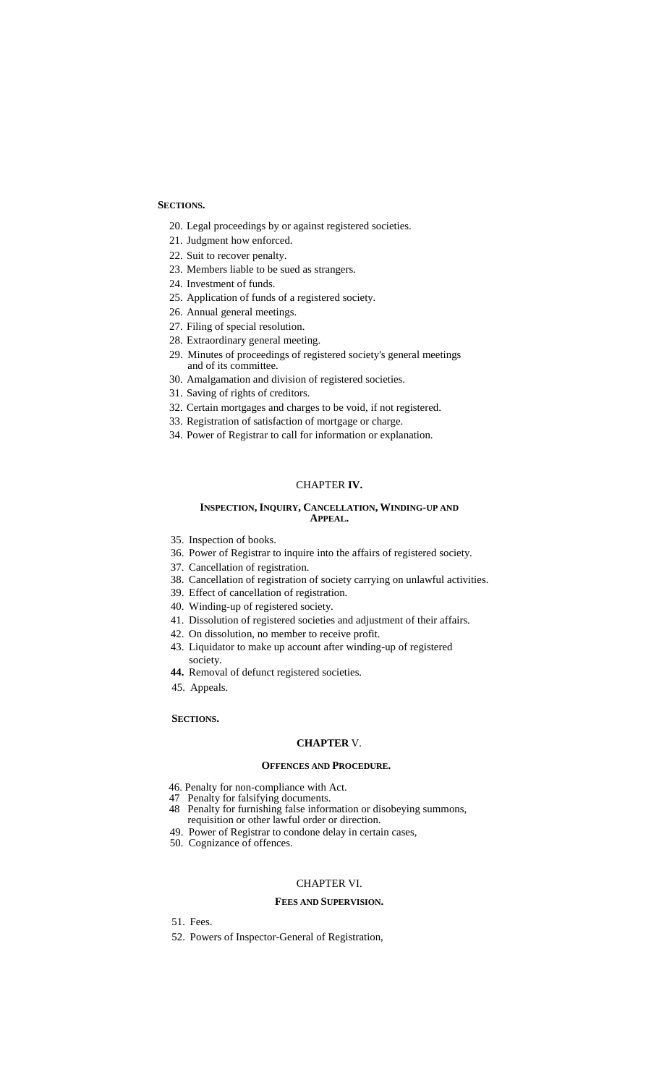## **SECTIONS.**

- 20. Legal proceedings by or against registered societies.
- 21. Judgment how enforced.
- 22. Suit to recover penalty.
- 23. Members liable to be sued as strangers.
- 24. Investment of funds.
- 25. Application of funds of a registered society.
- 26. Annual general meetings.
- 27. Filing of special resolution.
- 28. Extraordinary general meeting.
- 29. Minutes of proceedings of registered society's general meetings and of its committee.
- 30. Amalgamation and division of registered societies.
- 31. Saving of rights of creditors.
- 32. Certain mortgages and charges to be void, if not registered.
- 33. Registration of satisfaction of mortgage or charge.
- 34. Power of Registrar to call for information or explanation.

# CHAPTER **IV.**

### **INSPECTION, INQUIRY, CANCELLATION, WINDING-UP AND APPEAL.**

- 35. Inspection of books.
- 36. Power of Registrar to inquire into the affairs of registered society.
- 37. Cancellation of registration.
- 38. Cancellation of registration of society carrying on unlawful activities.
- 39. Effect of cancellation of registration.
- 40. Winding-up of registered society.
- 41. Dissolution of registered societies and adjustment of their affairs.
- 42. On dissolution, no member to receive profit.
- 43. Liquidator to make up account after winding-up of registered society.
- **44.** Removal of defunct registered societies.
- 45. Appeals.

## **SECTIONS.**

# **CHAPTER** V.

# **OFFENCES AND PROCEDURE.**

- 46. Penalty for non-compliance with Act.
- 47 Penalty for falsifying documents.
- 48 Penalty for furnishing false information or disobeying summons, requisition or other lawful order or direction.
- 49. Power of Registrar to condone delay in certain cases,
- 50. Cognizance of offences.

### CHAPTER VI.

# **FEES AND SUPERVISION.**

- 51. Fees.
- 52. Powers of Inspector-General of Registration,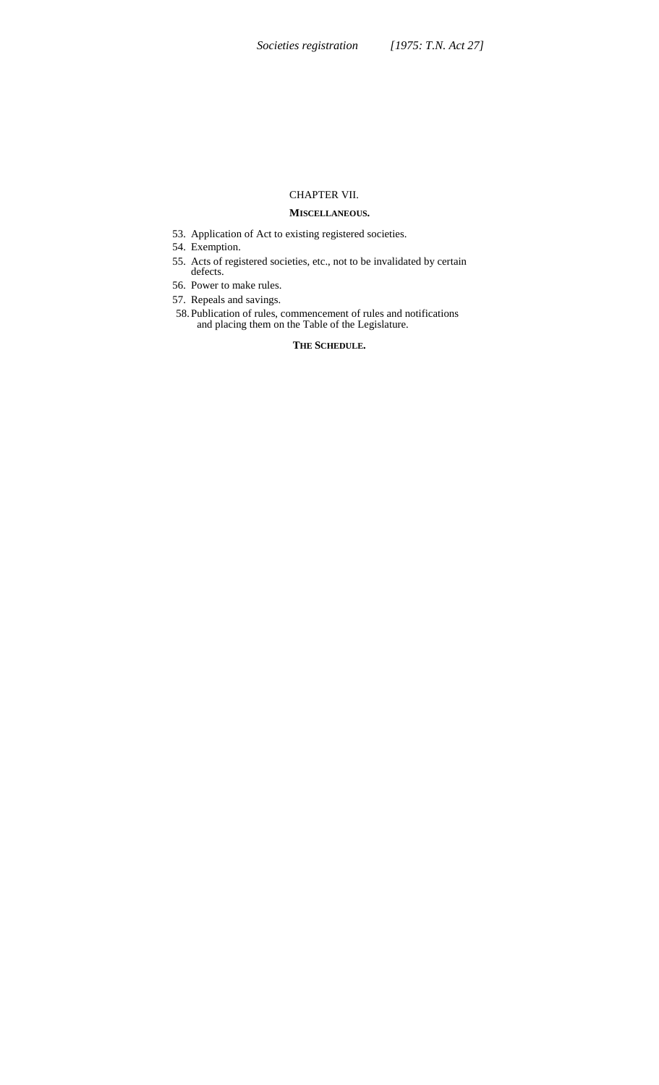# CHAPTER VII.

# **MISCELLANEOUS.**

- 53. Application of Act to existing registered societies.
- 54. Exemption.
- 55. Acts of registered societies, etc., not to be invalidated by certain defects.
- 56. Power to make rules.
- 57. Repeals and savings.
- 58.Publication of rules, commencement of rules and notifications and placing them on the Table of the Legislature.

# **THE SCHEDULE.**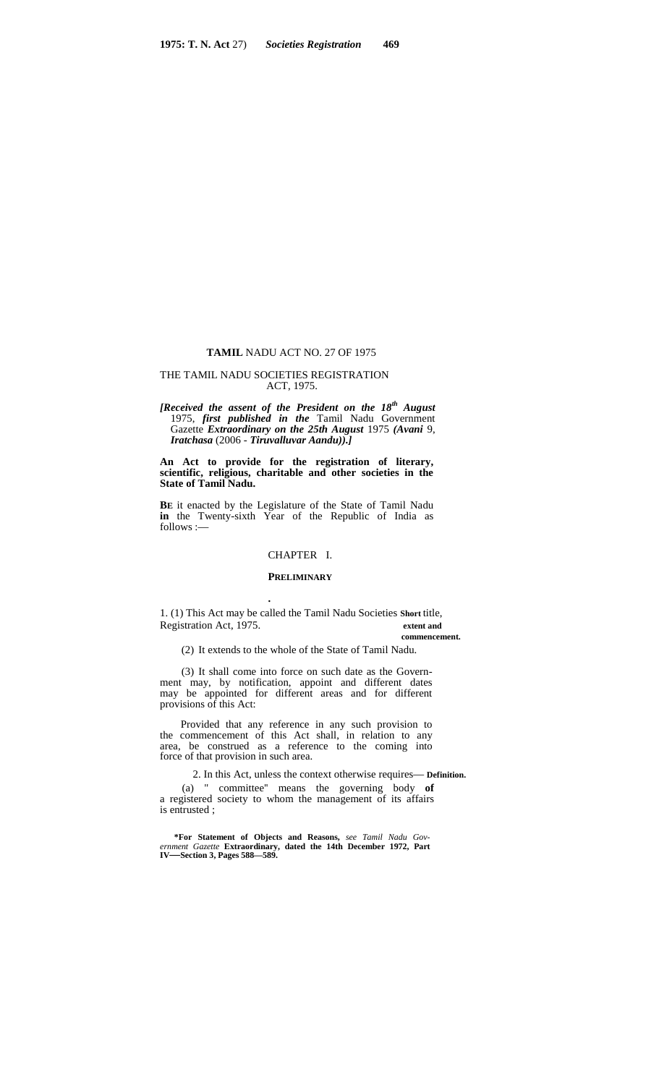#### **TAMIL** NADU ACT NO. 27 OF 1975

#### THE TAMIL NADU SOCIETIES REGISTRATION ACT, 1975.

*[Received the assent of the President on the 18th August* 1975, *first published in the* Tamil Nadu Government Gazette *Extraordinary on the 25th August* 1975 *(Avani* 9, *Iratchasa* (2006 - *Tiruvalluvar Aandu)).]*

**An Act to provide for the registration of literary, scientific, religious, charitable and other societies in the State of Tamil Nadu.**

**BE** it enacted by the Legislature of the State of Tamil Nadu **in** the Twenty-sixth Year of the Republic of India as follows :—

# CHAPTER I.

#### **PRELIMINARY**

**.**

1. (1) This Act may be called the Tamil Nadu Societies **Short** title, Registration Act, 1975. **extent and**

**commencement.**

(2) It extends to the whole of the State of Tamil Nadu.

(3) It shall come into force on such date as the Govern ment may, by notification, appoint and different dates may be appointed for different areas and for different provisions of this Act:

Provided that any reference in any such provision to the commencement of this Act shall, in relation to any area, be construed as a reference to the coming into force of that provision in such area.

2. In this Act, unless the context otherwise requires— **Definition.** (a) " committee'' means the governing body **of** a registered society to whom the management of its affairs is entrusted ;

**\*For Statement of Objects and Reasons,** *see Tamil Nadu Gov ernment Gazette* **Extraordinary, dated the 14th December 1972, Part IV—Section 3, Pages 588—589.**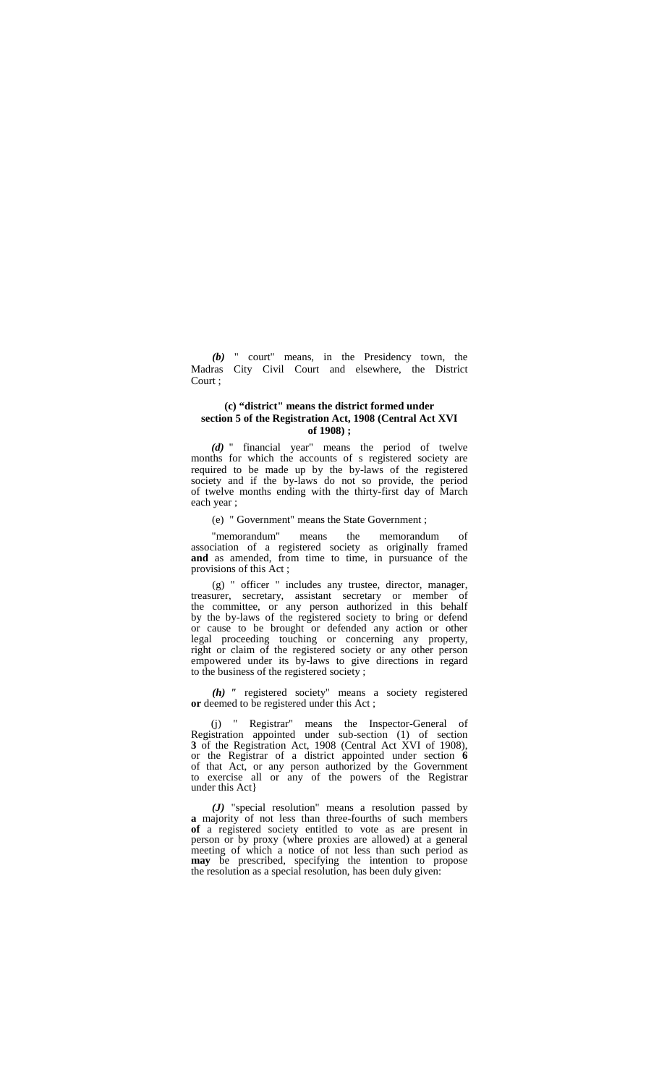*(b)* " court" means, in the Presidency town, the Madras City Civil Court and elsewhere, the District Court ;

## **(c) "district" means the district formed under section 5 of the Registration Act, 1908 (Central Act XVI of 1908) ;**

*(d)* " financial year" means the period of twelve months for which the accounts of s registered society are required to be made up by the by-laws of the registered society and if the by-laws do not so provide, the period of twelve months ending with the thirty-first day of March each year ;

(e) " Government" means the State Government ;

"memorandum" means the memorandum of association of a registered society as originally framed **and** as amended, from time to time, in pursuance of the provisions of this Act ;

(g) " officer " includes any trustee, director, manager, treasurer, secretary, assistant secretary or member of the committee, or any person authorized in this behalf by the by-laws of the registered society to bring or defend or cause to be brought or defended any action or other legal proceeding touching or concerning any property, right or claim of the registered society or any other person empowered under its by-laws to give directions in regard to the business of the registered society ;

*(h) "* registered society" means a society registered **or** deemed to be registered under this Act ;

(j) " Registrar" means the Inspector-General of Registration appointed under sub-section (1) of section **3** of the Registration Act, 1908 (Central Act XVI of 1908), or the Registrar of a district appointed under section **6** of that Act, or any person authorized by the Government to exercise all or any of the powers of the Registrar under this Act}

*(J)* "special resolution" means a resolution passed by **a** majority of not less than three-fourths of such members **of** a registered society entitled to vote as are present in person or by proxy (where proxies are allowed) at a general meeting of which a notice of not less than such period a**<sup>S</sup> may** be prescribed, specifying the intention to propose the resolution as a special resolution, has been duly given: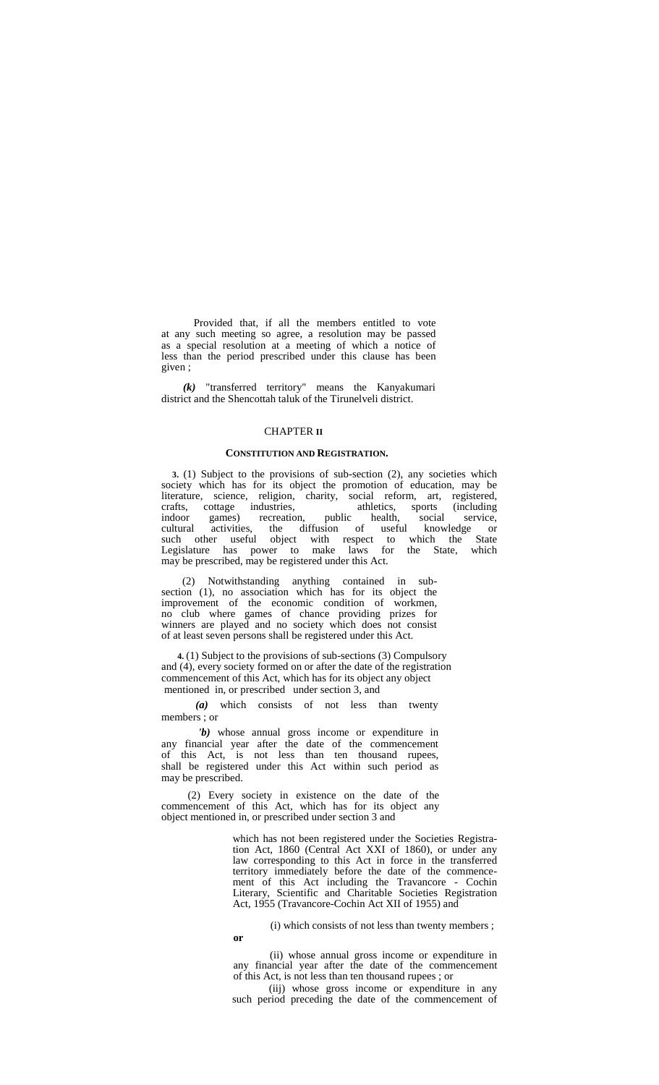Provided that, if all the members entitled to vote at any such meeting so agree, a resolution may be passed as a special resolution at a meeting of which a notice of less than the period prescribed under this clause has been given ;

*(k)* "transferred territory" means the Kanyakumari district and the Shencottah taluk of the Tirunelveli district.

#### CHAPTER **II**

#### **CONSTITUTION AND REGISTRATION.**

**3.** (1) Subject to the provisions of sub-section (2), any societies which society which has for its object the promotion of education, may be literature, science, religion, charity, social reform, art, registered, crafts, cottage industries, athletics, sports (including articles) crafts, cottage industries, athletics, sports (including indoor games) recreation, public health, social service, cultural activities, the diffusion of useful knowledge or such other useful object with respect to which the State Legislature has power to make laws for the State, which may be prescribed, may be registered under this Act.

(2) Notwithstanding anything contained in sub section (1), no association which has for its object the improvement of the economic condition of workmen, no club where games of chance providing prizes for winners are played and no society which does not consist of at least seven persons shall be registered under this Act.

**4.** (1) Subject to the provisions of sub-sections (3) Compulsory and (4), every society formed on or after the date of the registration commencement of this Act, which has for its object any object mentioned in, or prescribed under section 3, and

*(a)* which consists of not less than twenty members ; or

*'b)* whose annual gross income or expenditure in any financial year after the date of the commencement of this Act, is not less than ten thousand rupees, shall be registered under this Act within such period as may be prescribed.

(2) Every society in existence on the date of the commencement of this Act, which has for its object any object mentioned in, or prescribed under section 3 and

**or**

which has not been registered under the Societies Registration Act, 1860 (Central Act XXI of 1860), or under any law corresponding to this Act in force in the transferred territory immediately before the date of the commence ment of this Act including the Travancore - Cochin Literary, Scientific and Charitable Societies Registration Act, 1955 (Travancore-Cochin Act XII of 1955) and

(i) which consists of not less than twenty members ;

(ii) whose annual gross income or expenditure in any financial year after the date of the commencement of this Act, is not less than ten thousand rupees ; or

(iij) whose gross income or expenditure in any such period preceding the date of the commencement of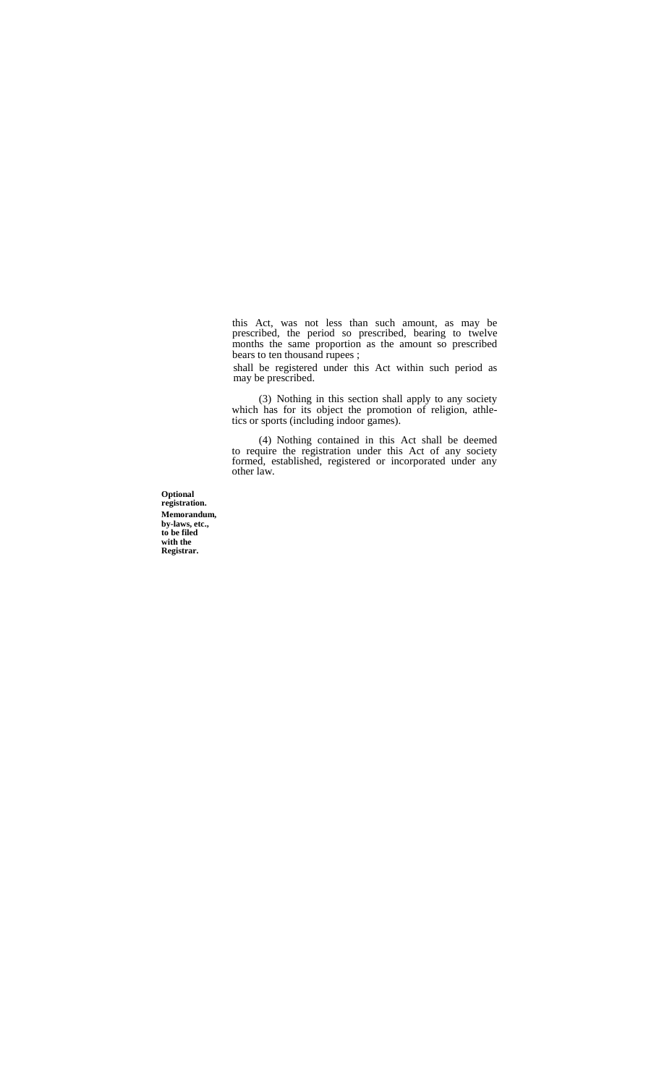this Act, was not less than such amount, as may be prescribed, the period so prescribed, bearing to twelve months the same proportion as the amount so prescribed bears to ten thousand rupees ;

shall be registered under this Act within such period as may be prescribed.

(3) Nothing in this section shall apply to any society which has for its object the promotion of religion, athletics or sports (including indoor games).

(4) Nothing contained in this Act shall be deemed to require the registration under this Act of any society formed, established, registered or incorporated under any other law.

**Optional registration. Memorandum, by-laws, etc., to be filed with the Registrar.**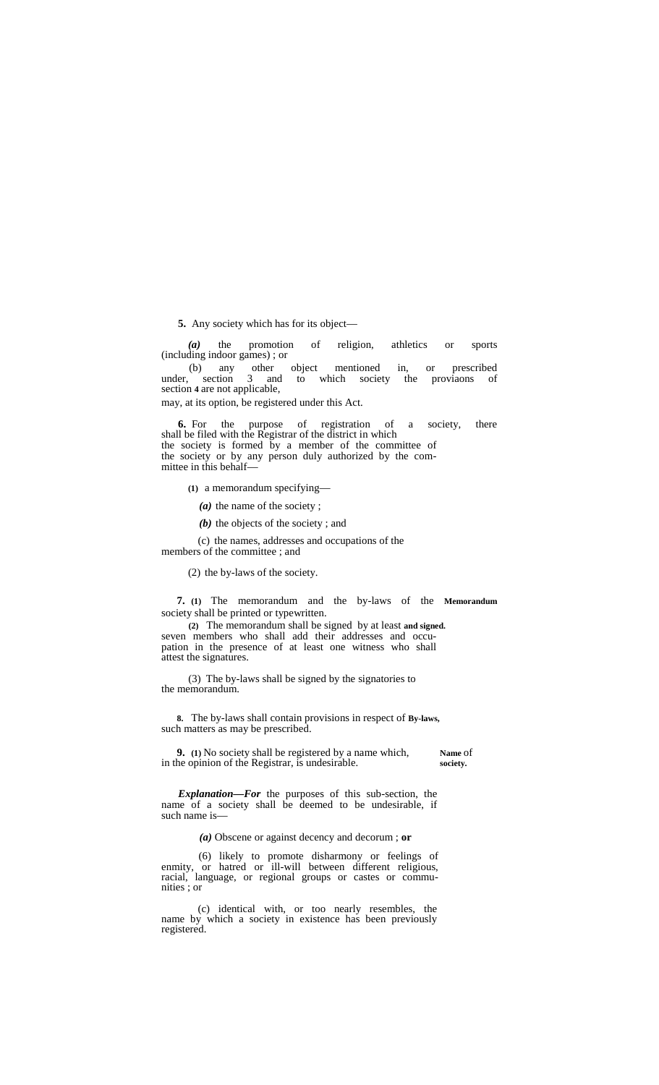**5.** Any society which has for its object—

*(a)* the promotion of religion, athletics or sports (including indoor games) ; or

(b) any other object mentioned in, or prescribed under, section 3 and to which society the proviaons of to which society the proviaons section **4** are not applicable,

may, at its option, be registered under this Act.

**6.** For the purpose of registration of a society, there shall be filed with the Registrar of the district in which the society is formed by a member of the committee of the society or by any person duly authorized by the com mittee in this behalf—

**(1)** a memorandum specifying—

*(a)* the name of the society ;

*(b)* the objects of the society ; and

(c) the names, addresses and occupations of the

members of the committee ; and

(2) the by-laws of the society.

**7. (1)** The memorandum and the by-laws of the **Memorandum** society shall be printed or typewritten.

**(2)** The memorandum shall be signed by at least **and signed.** pation in the presence of at least one witness who shall attest the signatures.

(3) The by-laws shall be signed by the signatories to the memorandum.

**8.** The by-laws shall contain provisions in respect of **By-laws,** such matters as may be prescribed.

**9. (1)** No society shall be registered by a name which, **Name** of the Registrar, is undesirable. in the opinion of the Registrar, is undesirable.

*Explanation—For* the purposes of this sub-section, the name of a society shall be deemed to be undesirable, if such name is-

*(a)* Obscene or against decency and decorum ; **or**

(6) likely to promote disharmony or feelings of enmity, or hatred or ill-will between different religious, racial, language, or regional groups or castes or commu- nities ; or

(c) identical with, or too nearly resembles, the name by which a society in existence has been previously registered.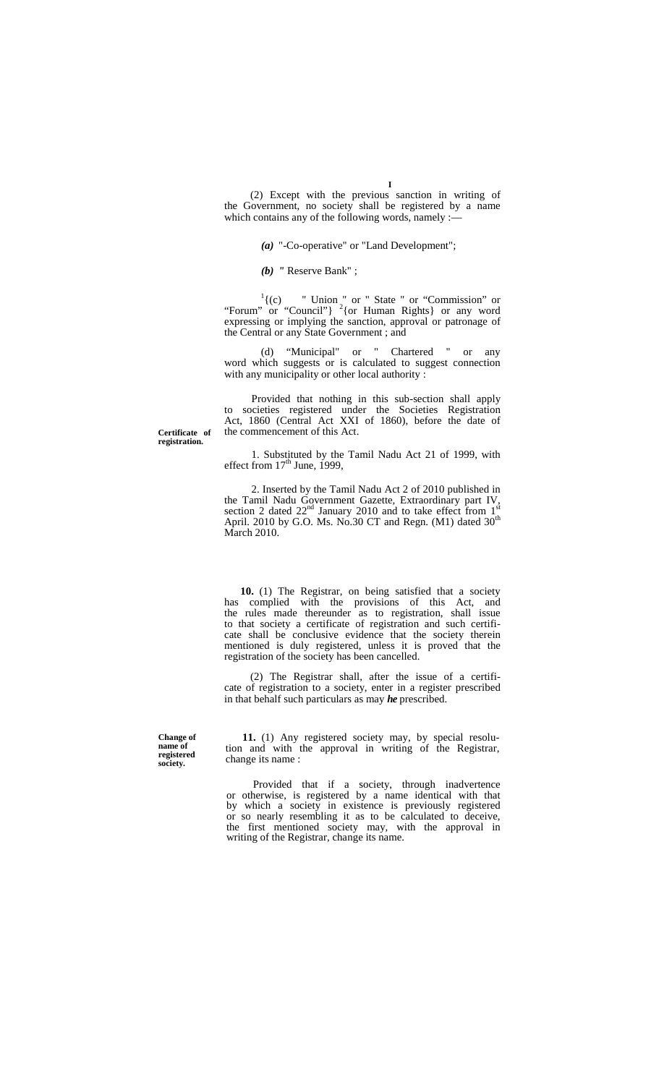(2) Except with the previous sanction in writing of the Government, no society shall be registered by a name which contains any of the following words, namely :-

*(a)* "-Co-operative" or "Land Development";

*(b) "* Reserve Bank" ;

 $\frac{1}{2}$  (c) " Union " or " State " or "Commission" or "Forum" or "Council"}  $^{2}$  {or Human Rights} or any word expressing or implying the sanction, approval or patronage of the Central or any State Government ; and

(d) "Municipal" or " Chartered " or any word which suggests or is calculated to suggest connection with any municipality or other local authority :

Provided that nothing in this sub-section shall apply to societies registered under the Societies Registration Act, 1860 (Central Act XXI of 1860), before the date of the commencement of this Act.

**Certificate of registration.**

> 1. Substituted by the Tamil Nadu Act 21 of 1999, with effect from  $17<sup>th</sup>$  June, 1999,

2. Inserted by the Tamil Nadu Act 2 of 2010 published in the Tamil Nadu Government Gazette, Extraordinary part IV, section 2 dated  $22<sup>nd</sup>$  January 2010 and to take effect from  $1<sup>st</sup>$ April. 2010 by G.O. Ms. No.30 CT and Regn. (M1) dated  $30<sup>th</sup>$ March 2010.

**10.** (1) The Registrar, on being satisfied that a society has complied with the provisions of this Act, and the rules made thereunder as to registration, shall issue to that society a certificate of registration and such certifi cate shall be conclusive evidence that the society therein mentioned is duly registered, unless it is proved that the registration of the society has been cancelled.

(2) The Registrar shall, after the issue of a certifi cate of registration to a society, enter in a register prescribed in that behalf such particulars as may *he* prescribed.

**Change of name of registered society.**

**11.** (1) Any registered society may, by special resolution and with the approval in writing of the Registrar, change its name :

Provided that if a society, through inadvertence or otherwise, is registered by a name identical with that by which a society in existence is previously registered or so nearly resembling it as to be calculated to deceive, the first mentioned society may, with the approval in writing of the Registrar, change its name.

**I**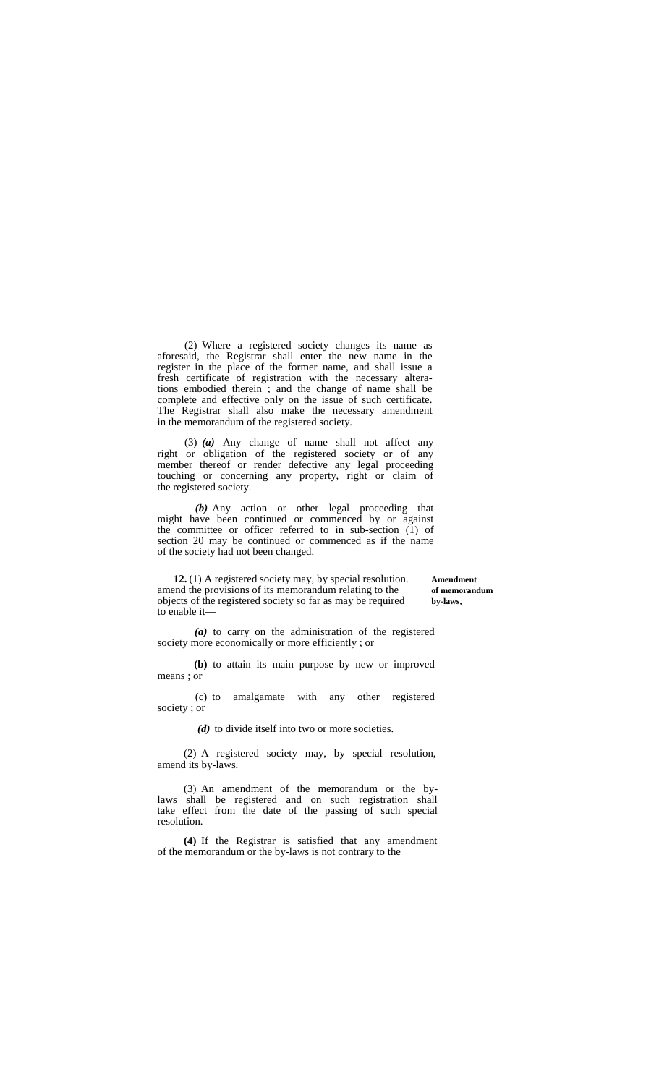(2) Where a registered society changes its name as aforesaid, the Registrar shall enter the new name in the register in the place of the former name, and shall issue a fresh certificate of registration with the necessary alterations embodied therein ; and the change of name shall be complete and effective only on the issue of such certificate. The Registrar shall also make the necessary amendment in the memorandum of the registered society.

(3) *(a)* Any change of name shall not affect any right or obligation of the registered society or of any member thereof or render defective any legal proceeding touching or concerning any property, right or claim of the registered society.

*(b)* Any action or other legal proceeding that might have been continued or commenced by or against the committee or officer referred to in sub-section (1) of section 20 may be continued or commenced as if the name of the society had not been changed.

**12.** (1) A registered society may, by special resolution. **Amendment** and the provisions of its memorandum relating to the **of memorandum** amend the provisions of its memorandum relating to the of memorandum objects of the registered society so far as may be required by-laws, objects of the registered society so far as may be required **by-laws,** to enable it—

*(a)* to carry on the administration of the registered society more economically or more efficiently ; or

**(b)** to attain its main purpose by new or improved means ; or

(c) to amalgamate with any other registered society ; or

*(d)* to divide itself into two or more societies.

(2) A registered society may, by special resolution, amend its by-laws.

(3) An amendment of the memorandum or the bylaws shall be registered and on such registration shall take effect from the date of the passing of such special resolution.

**(4)** If the Registrar is satisfied that any amendment of the memorandum or the by-laws is not contrary to the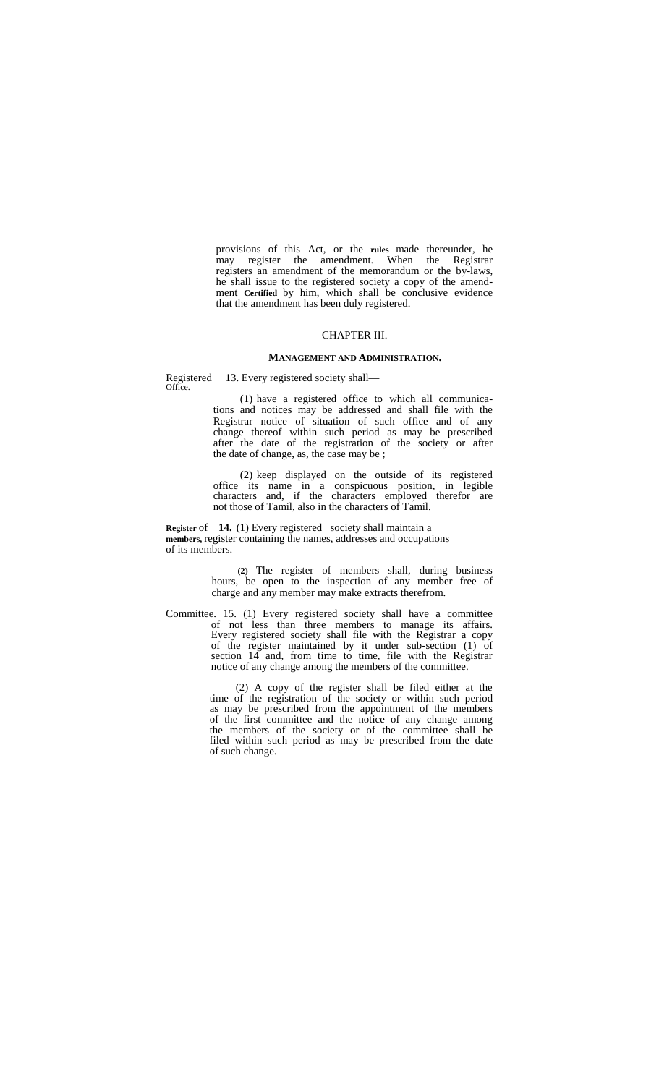provisions of this Act, or the **rules** made thereunder, he may register the amendment. When the Registrar registers an amendment of the memorandum or the by-laws, he shall issue to the registered society a copy of the amend ment **Certified** by him, which shall be conclusive evidence that the amendment has been duly registered.

#### CHAPTER III.

#### **MANAGEMENT AND ADMINISTRATION.**

13. Every registered society shall-Registered<br>Office.

> (1) have a registered office to which all communications and notices may be addressed and shall file with the Registrar notice of situation of such office and of any change thereof within such period as may be prescribed after the date of the registration of the society or after the date of change, as, the case may be ;

> (2) keep displayed on the outside of its registered office its name in a conspicuous position, in legible characters and, if the characters employed therefor are not those of Tamil, also in the characters of Tamil.

**Register** of **14.** (1) Every registered society shall maintain a **members,** register containing the names, addresses and occupations of its members.

> **(2)** The register of members shall, during business hours, be open to the inspection of any member free of charge and any member may make extracts therefrom.

Committee. 15. (1) Every registered society shall have a committee of not less than three members to manage its affairs. Every registered society shall file with the Registrar a copy of the register maintained by it under sub-section (1) of section 14 and, from time to time, file with the Registrar notice of any change among the members of the committee.

> (2) A copy of the register shall be filed either at the time of the registration of the society or within such period as may be prescribed from the appointment of the members of the first committee and the notice of any change among the members of the society or of the committee shall be filed within such period as may be prescribed from the date of such change.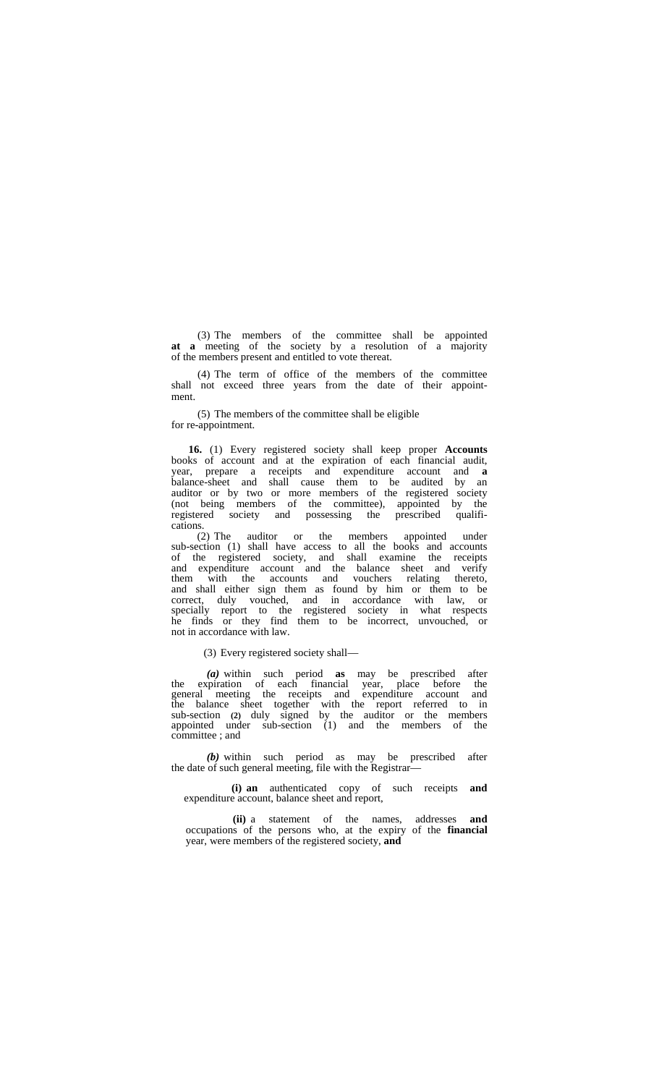(3) The members of the committee shall be appointed **at a** meeting of the society by a resolution of a majority of the members present and entitled to vote thereat.

(4) The term of office of the members of the committee shall not exceed three years from the date of their appoint ment.

(5) The members of the committee shall be eligible for re-appointment.

**16.** (1) Every registered society shall keep proper **Accounts** books of account and at the expiration of each financial audit, year, prepare a receipts and expenditure account and **a** balance-sheet and shall cause them to be audited by an auditor or by two or more members of the registered society (not being members of the committee), appointed by the registered society and possessing the prescribed qualifi cations.

(2) The auditor or the members appointed under sub-section (1) shall have access to all the books and accounts of the registered society, and shall examine the receipts and expenditure account and the balance sheet and verify them with the accounts and vouchers relating thereto, and shall either sign them as found by him or them to be correct, duly vouched, and in accordance with law, or specially report to the registered society in what respects he finds or they find them to be incorrect, unvouched, or not in accordance with law.

(3) Every registered society shall—

*(a)* within such period **as** may be prescribed after the expiration of each financial year, place before the general meeting the receipts and expenditure account and the balance sheet together with the report referred to in sub-section **(2)** duly signed by the auditor or the members appointed under sub-section (1) and the members of the committee ; and

*(b)* within such period as may be prescribed after the date of such general meeting, file with the Registrar—

**(i) an** authenticated copy of such receipts **and** expenditure account, balance sheet and report,

**(ii)** a statement of the names, addresses **and** occupations of the persons who, at the expiry of the **financial** year, were members of the registered society, **and**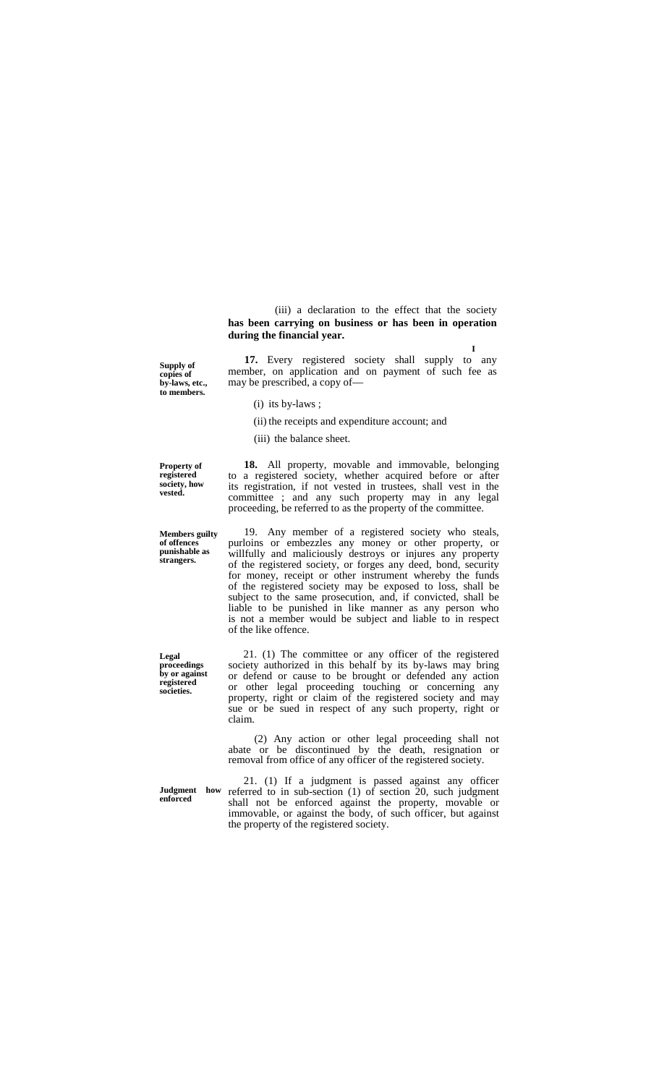(iii) a declaration to the effect that the society **has been carrying on business or has been in operation during the financial year.**

**17.** Every registered society shall supply to any member, on application and on payment of such fee as may be prescribed, a copy of—

(i) its by-laws ;

(ii) the receipts and expenditure account; and

(iii) the balance sheet.

**Property of registered society, how vested.**

**strangers.**

**Legal proceedings by or against registered societies.**

**Supply of copies of by-laws, etc., to members.**

**Members guilty of offences punishable as**

committee ; and any such property may in any legal proceeding, be referred to as the property of the committee. 19. Any member of a registered society who steals, purloins or embezzles any money or other property, or willfully and maliciously destroys or injures any property

**18.** All property, movable and immovable, belonging to a registered society, whether acquired before or after its registration, if not vested in trustees, shall vest in the

of the registered society, or forges any deed, bond, security for money, receipt or other instrument whereby the funds of the registered society may be exposed to loss, shall be subject to the same prosecution, and, if convicted, shall be liable to be punished in like manner as any person who is not a member would be subject and liable to in respect of the like offence.

21. (1) The committee or any officer of the registered society authorized in this behalf by its by-laws may bring or defend or cause to be brought or defended any action or other legal proceeding touching or concerning any property, right or claim of the registered society and may sue or be sued in respect of any such property, right or claim.

(2) Any action or other legal proceeding shall not abate or be discontinued by the death, resignation or removal from office of any officer of the registered society.

**enforced**

**Judgment how** 21. (1) If a judgment is passed against any officer referred to in sub-section (1) of section 20, such judgment shall not be enforced against the property, movable or immovable, or against the body, of such officer, but against the property of the registered society.

**I**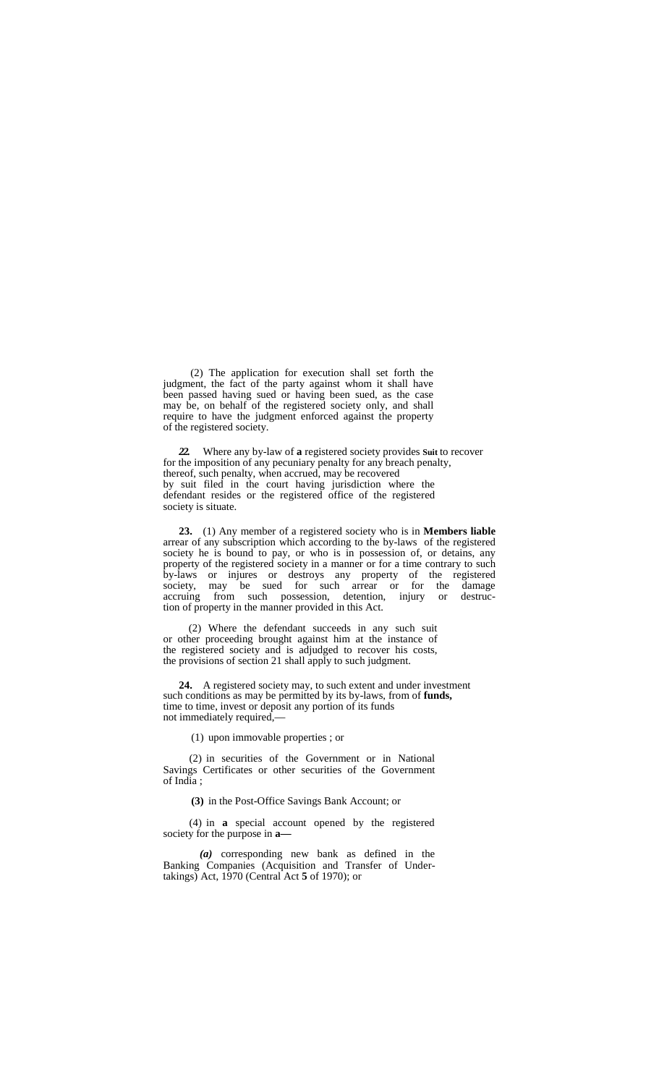(2) The application for execution shall set forth the judgment, the fact of the party against whom it shall have been passed having sued or having been sued, as the case may be, on behalf of the registered society only, and shall require to have the judgment enforced against the property of the registered society.

*22.* Where any by-law of **a** registered society provides **Suit** to recover for the imposition of any pecuniary penalty for any breach penalty, thereof, such penalty, when accrued, may be recovered by suit filed in the court having jurisdiction where the defendant resides or the registered office of the registered society is situate.

**23.** (1) Any member of a registered society who is in **Members liable** arrear of any subscription which according to the by-laws of the registered society he is bound to pay, or who is in possession of, or detains, any property of the registered society in a manner or for a time contrary to such by-laws or injures or destroys any property of the registered society, may be sued for such arrear or for the damage accruing from such possession, detention, injury or destruction of property in the manner provided in this Act.

(2) Where the defendant succeeds in any such suit or other proceeding brought against him at the instance of the registered society and is adjudged to recover his costs, the provisions of section 21 shall apply to such judgment.

**24.** A registered society may, to such extent and under investment such conditions as may be permitted by its by-laws, from of **funds,** time to time, invest or deposit any portion of its funds not immediately required,—

(1) upon immovable properties ; or

(2) in securities of the Government or in National Savings Certificates or other securities of the Government of India ;

**(3)** in the Post-Office Savings Bank Account; or

(4) in **a** special account opened by the registered society for the purpose in **a—**

*(a)* corresponding new bank as defined in the Banking Companies (Acquisition and Transfer of Undertakings) Act, 1970 (Central Act **5** of 1970); or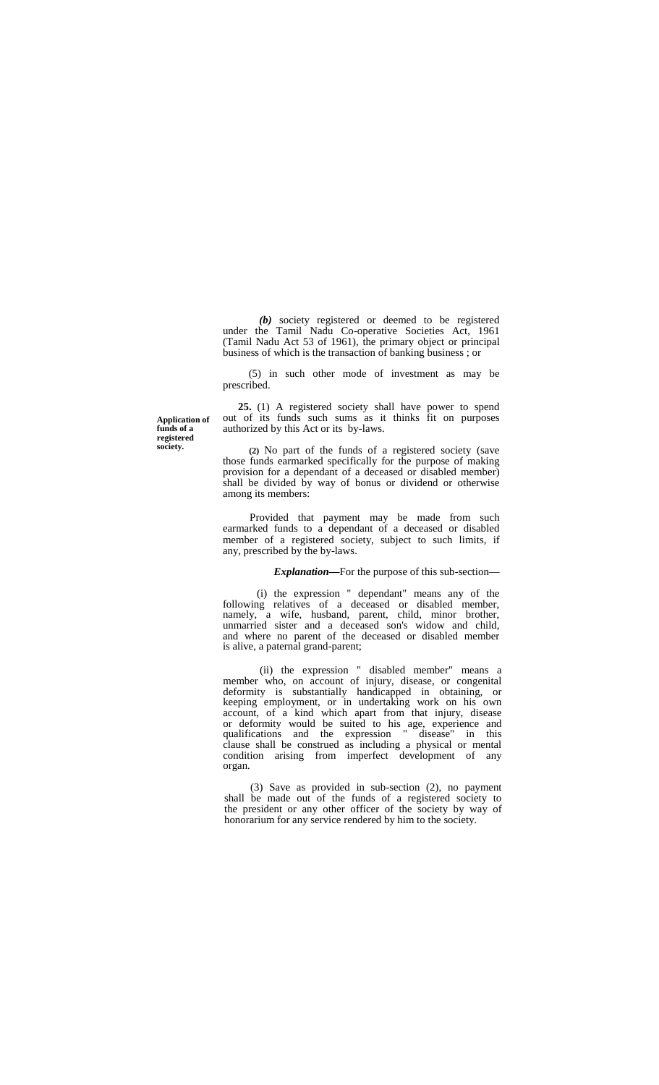*(b)* society registered or deemed to be registered under the Tamil Nadu Co-operative Societies Act, 1961 (Tamil Nadu Act 53 of 1961), the primary object or principal business of which is the transaction of banking business ; or

(5) in such other mode of investment as may be prescribed.

**Application of funds of a registered society.**

**25.** (1) A registered society shall have power to spend out of its funds such sums as it thinks fit on purposes authorized by this Act or its by-laws.

**(2)** No part of the funds of a registered society (save those funds earmarked specifically for the purpose of making provision for a dependant of a deceased or disabled member) shall be divided by way of bonus or dividend or otherwise among its members:

Provided that payment may be made from such earmarked funds to a dependant of a deceased or disabled member of a registered society, subject to such limits, if any, prescribed by the by-laws.

*Explanation—*For the purpose of this sub-section—

(i) the expression " dependant" means any of the following relatives of a deceased or disabled member, namely, a wife, husband, parent, child, minor brother, unmarried sister and a deceased son's widow and child, and where no parent of the deceased or disabled member is alive, a paternal grand-parent;

(ii) the expression " disabled member" means a member who, on account of injury, disease, or congenital deformity is substantially handicapped in obtaining, or keeping employment, or in undertaking work on his own account, of a kind which apart from that injury, disease or deformity would be suited to his age, experience and qualifications and the expression " disease" in this clause shall be construed as including a physical or mental condition arising from imperfect development of any organ.

(3) Save as provided in sub-section (2), no payment shall be made out of the funds of a registered society to the president or any other officer of the society by way of honorarium for any service rendered by him to the society.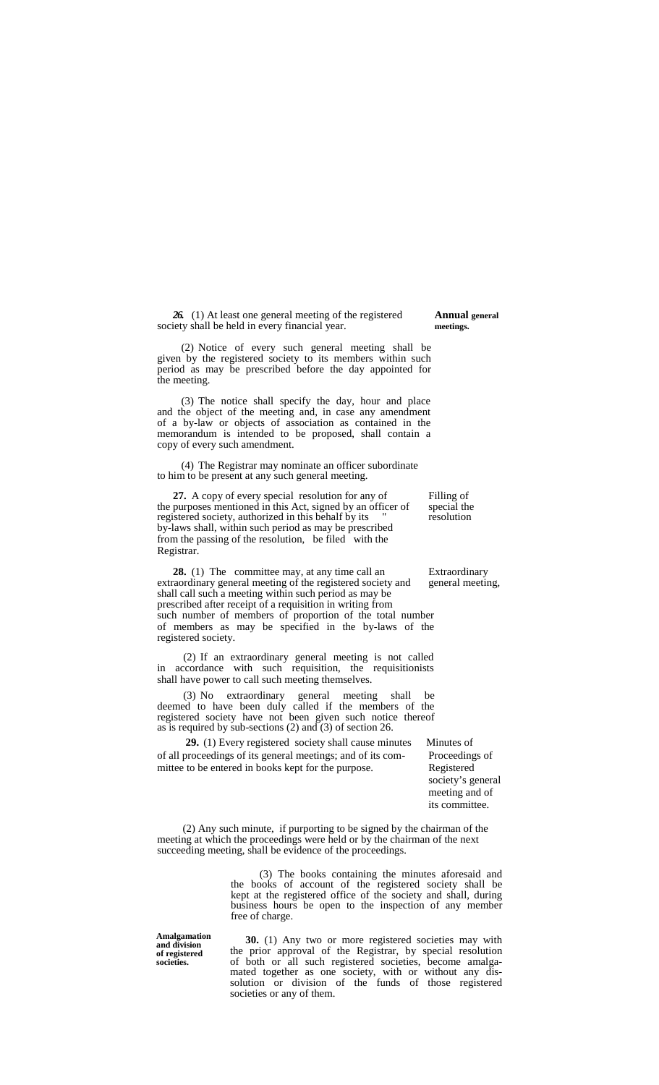*26.* (1) At least one general meeting of the registered **Annual general** society shall be held in every financial year. **meetings.** 

(2) Notice of every such general meeting shall be given by the registered society to its members within such period as may be prescribed before the day appointed for the meeting.

(3) The notice shall specify the day, hour and place and the object of the meeting and, in case any amendment of a by-law or objects of association as contained in the memorandum is intended to be proposed, shall contain a copy of every such amendment.

(4) The Registrar may nominate an officer subordinate to him to be present at any such general meeting.

**27.** A copy of every special resolution for any of Filling of the purposes mentioned in this Act, signed by an officer of special the registered society, authorized in this behalf by its " resolution by-laws shall, within such period as may be prescribed from the passing of the resolution, be filed with the Registrar.

**28.** (1) The committee may, at any time call an Extraordinary extraordinary general meeting of the registered society and general meeting, shall call such a meeting within such period as may be prescribed after receipt of a requisition in writing from such number of members of proportion of the total number of members as may be specified in the by-laws of the registered society.

(2) If an extraordinary general meeting is not called in accordance with such requisition, the requisitionists shall have power to call such meeting themselves.

(3) No extraordinary general meeting shall be deemed to have been duly called if the members of the registered society have not been given such notice thereof as is required by sub-sections (2) and (3) of section 26.

**29.** (1) Every registered society shall cause minutes Minutes of of all proceedings of its general meetings; and of its com-<br>mittee to be entered in books kept for the purpose.<br>Registered mittee to be entered in books kept for the purpose.

society's general meeting and of its committee.

(2) Any such minute, if purporting to be signed by the chairman of the meeting at which the proceedings were held or by the chairman of the next succeeding meeting, shall be evidence of the proceedings.

> (3) The books containing the minutes aforesaid and the books of account of the registered society shall be kept at the registered office of the society and shall, during business hours be open to the inspection of any member free of charge.

**Amalgamation and division of registered societies.**

**30.** (1) Any two or more registered societies may with the prior approval of the Registrar, by special resolution<br>of both or all such registered societies, become amalgamated together as one society, with or without any dis-<br>solution or division of the funds of those registered societies or any of them.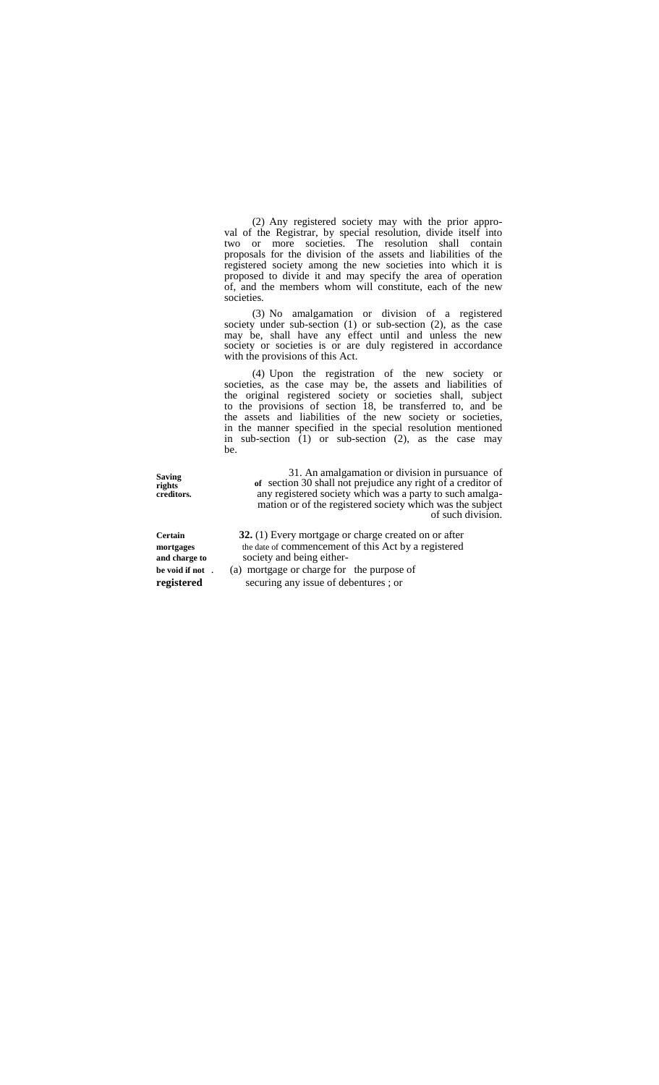(2) Any registered society may with the prior appro val of the Registrar, by special resolution, divide itself into two or more societies. The resolution shall contain proposals for the division of the assets and liabilities of the registered society among the new societies into which it is proposed to divide it and may specify the area of operation of, and the members whom will constitute, each of the new societies.

(3) No amalgamation or division of a registered society under sub-section (1) or sub-section (2), as the case may be, shall have any effect until and unless the new society or societies is or are duly registered in accordance with the provisions of this Act.

(4) Upon the registration of the new society or societies, as the case may be, the assets and liabilities of the original registered society or societies shall, subject to the provisions of section 18, be transferred to, and be the assets and liabilities of the new society or societies, in the manner specified in the special resolution mentioned in sub-section (1) or sub-section (2), as the case may be.

**Saving rights creditors.**

31. An amalgamation or division in pursuance of **of** section 30 shall not prejudice any right of a creditor of any registered society which was a party to such amalga- mation or of the registered society which was the subject of such division.

**Certain 32.** (1) Every mortgage or charge created on or after **mortgages** the date of commencement of this Act by a registered **and charge to** society and being either **be void if not** . (a) mortgage or charge for the purpose of

**registered** securing any issue of debentures ; or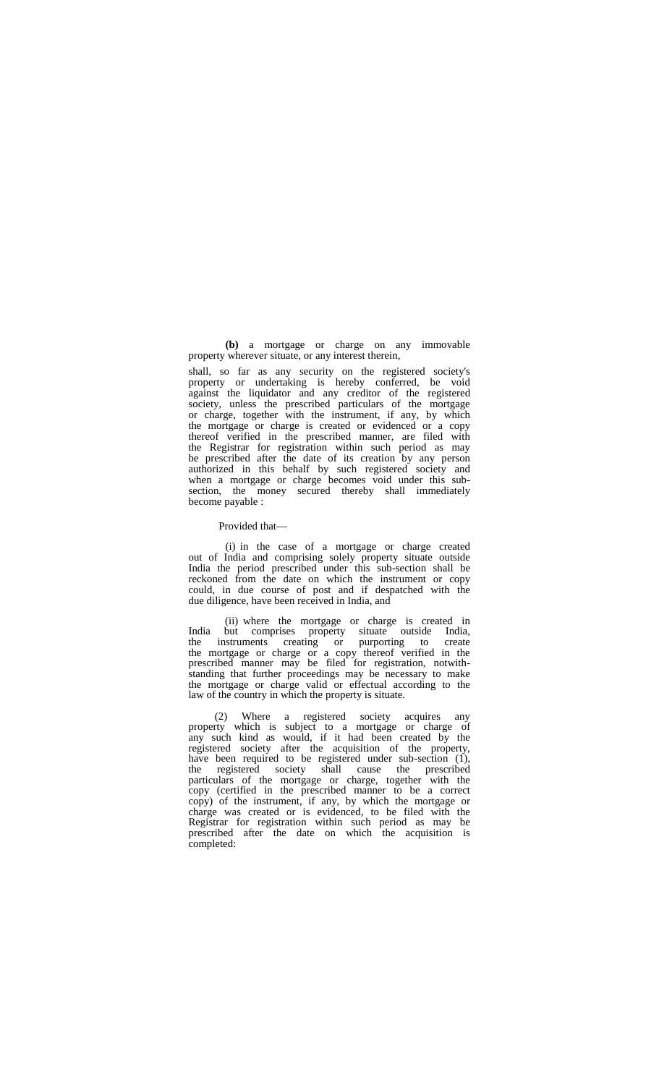**(b)** a mortgage or charge on any immovable property wherever situate, or any interest therein,

shall, so far as any security on the registered society's property or undertaking is hereby conferred, be void against the liquidator and any creditor of the registered society, unless the prescribed particulars of the mortgage or charge, together with the instrument, if any, by which the mortgage or charge is created or evidenced or a copy thereof verified in the prescribed manner, are filed with the Registrar for registration within such period as may be prescribed after the date of its creation by any person authorized in this behalf by such registered society and when a mortgage or charge becomes void under this sub section, the money secured thereby shall immediately become payable :

#### Provided that—

(i) in the case of a mortgage or charge created out of India and comprising solely property situate outside India the period prescribed under this sub-section shall be reckoned from the date on which the instrument or copy could, in due course of post and if despatched with the due diligence, have been received in India, and

(ii) where the mortgage or charge is created in India but comprises property situate outside India, the instruments creating or purporting to create the mortgage or charge or a copy thereof verified in the prescribed manner may be filed for registration, notwith- standing that further proceedings may be necessary to make the mortgage or charge valid or effectual according to the law of the country in which the property is situate.

(2) Where a registered society acquires any property which is subject to a mortgage or charge of any such kind as would, if it had been created by the registered society after the acquisition of the property, have been required to be registered under sub-section (1), the registered society shall cause the prescribed particulars of the mortgage or charge, together with the copy (certified in the prescribed manner to be a correct copy) of the instrument, if any, by which the mortgage or charge was created or is evidenced, to be filed with the Registrar for registration within such period as may be prescribed after the date on which the acquisition is completed: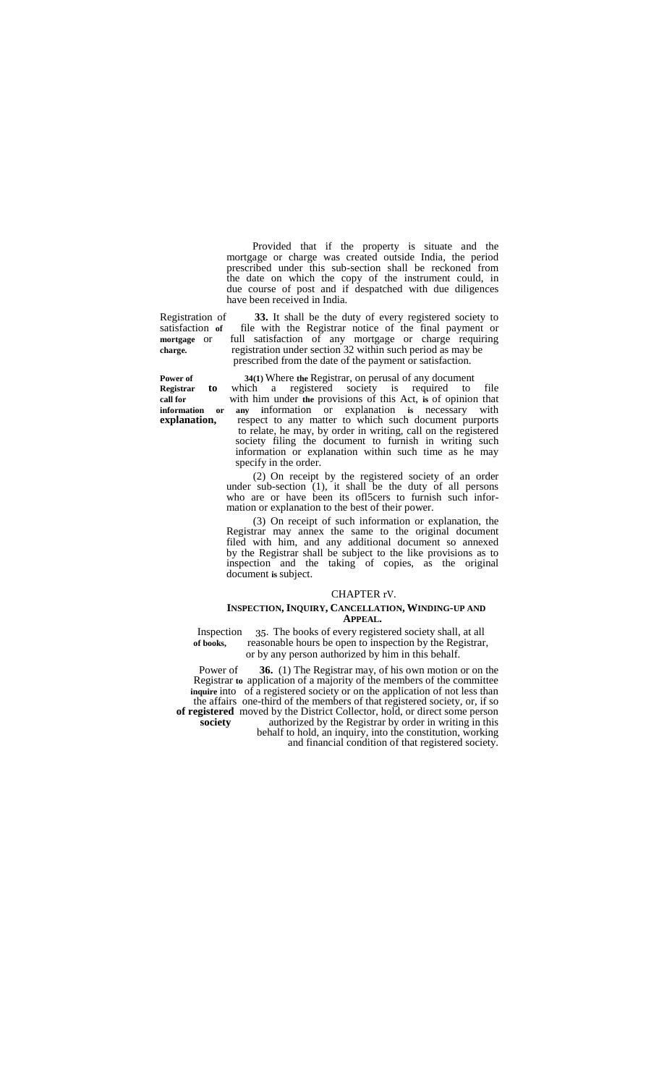Provided that if the property is situate and the mortgage or charge was created outside India, the period prescribed under this sub-section shall be reckoned from the date on which the copy of the instrument could, in due course of post and if despatched with due diligences have been received in India.

Registration of **33.** It shall be the duty of every registered society to satisfaction of file with the Registrar notice of the final payment or satisfaction **of** file with the Registrar notice of the final payment or **mortgage** or full satisfaction of any mortgage or charge requiring **charge.** registration under section 32 within such period as may be prescribed from the date of the payment or satisfaction.

**Power of 34(1)** Where **the** Registrar, on perusal of any document **Registrar to** which a registered society is required to file **call for** with him under **the** provisions of this Act, **is** of opinion that **information or any i**nformation or explanation **is** necessary with **explanation,** respect to any matter to which such document purports to relate, he may, by order in writing, call on the registered society filing the document to furnish in writing such information or explanation within such time as he may specify in the order.

> (2) On receipt by the registered society of an order under sub-section (1), it shall be the duty of all persons who are or have been its officers to furnish such infor-<br>mation or explanation to the best of their power.

(3) On receipt of such information or explanation, the Registrar may annex the same to the original document filed with him, and any additional document so annexed by the Registrar shall be subject to the like provisions as to inspection and the taking of copies, as the original document **is** subject.

#### CHAPTER rV.

#### **INSPECTION, INQUIRY, CANCELLATION, WINDING-UP AND APPEAL.**

Inspection 35. The books of every registered society shall, at all of books. reasonable hours be open to inspection by the Registrar reasonable hours be open to inspection by the Registrar, or by any person authorized by him in this behalf.

Power of **36.** (1) The Registrar may, of his own motion or on the Registrar **to** application of a majority of the members of the committee **inquire** into of a registered society or on the application of not less than the affairs one-third of the members of that registered society, or, if so **of registered** moved by the District Collector, hold, or direct some person society authorized by the Registrar by order in writing in this **society** authorized by the Registrar by order in writing in this behalf to hold, an inquiry, into the constitution, working and financial condition of that registered society.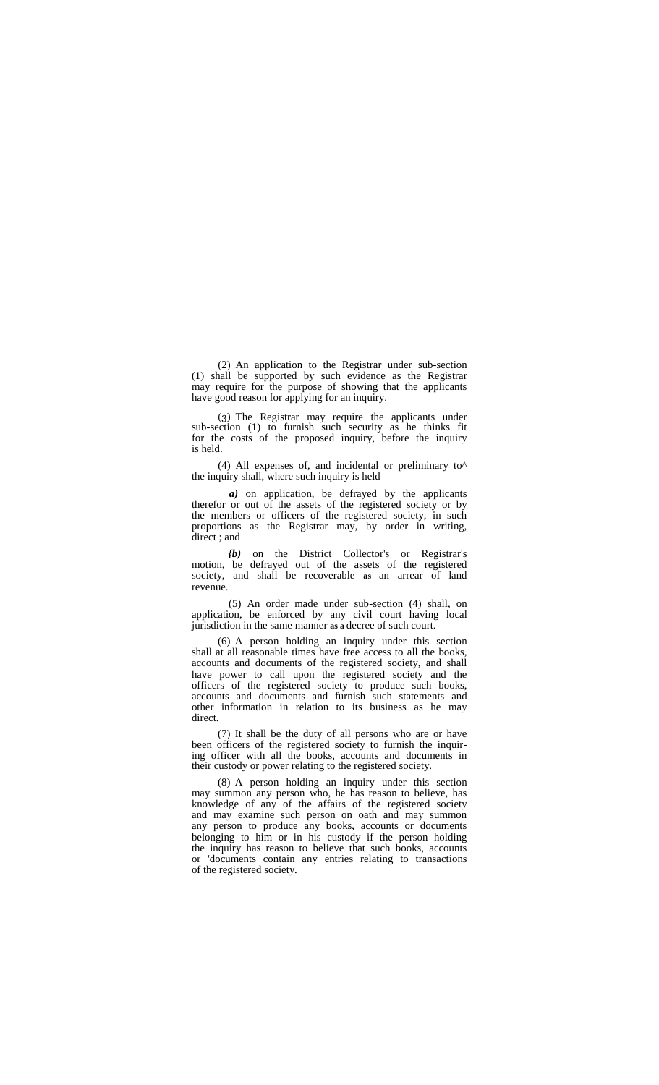(2) An application to the Registrar under sub-section (1) shall be supported by such evidence as the Registrar may require for the purpose of showing that the applicants have good reason for applying for an inquiry.

(3) The Registrar may require the applicants under sub-section (1) to furnish such security as he thinks fit for the costs of the proposed inquiry, before the inquiry is held.

(4) All expenses of, and incidental or preliminary to $\wedge$ the inquiry shall, where such inquiry is held—

*a)* on application, be defrayed by the applicants therefor or out of the assets of the registered society or by the members or officers of the registered society, in such proportions as the Registrar may, by order in writing, direct ; and

*{b)* on the District Collector's or Registrar's motion, be defrayed out of the assets of the registered society, and shall be recoverable **as** an arrear of land revenue.

(5) An order made under sub-section (4) shall, on application, be enforced by any civil court having local jurisdiction in the same manner **as a** decree of such court.

(6) A person holding an inquiry under this section shall at all reasonable times have free access to all the books, accounts and documents of the registered society, and shall have power to call upon the registered society and the officers of the registered society to produce such books, accounts and documents and furnish such statements and other information in relation to its business as he may

direct.<br>(7) It shall be the duty of all persons who are or have been officers of the registered society to furnish the inquiring officer with all the books, accounts and documents in their custody or power relating to the registered society.

(8) A person holding an inquiry under this section may summon any person who, he has reason to believe, has knowledge of any of the affairs of the registered society and may examine such person on oath and may summon any person to produce any books, accounts or documents belonging to him or in his custody if the person holding the inquiry has reason to believe that such books, accounts or 'documents contain any entries relating to transactions of the registered society.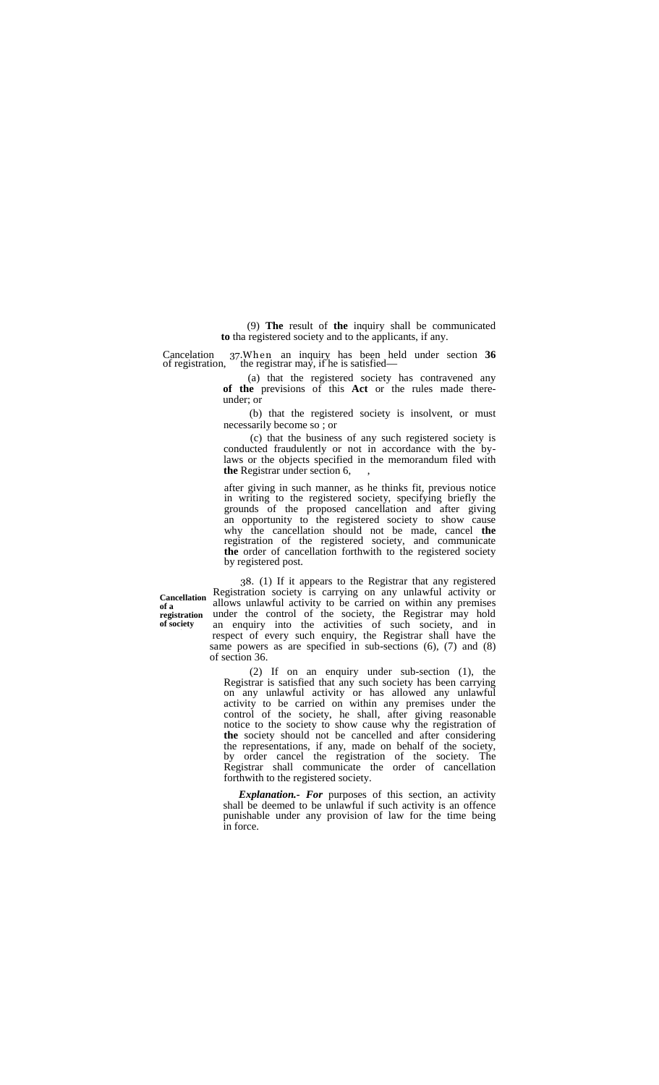(9) **The** result of **the** inquiry shall be communicated **to** tha registered society and to the applicants, if any.

Cancelation 37.When an inquiry has been held under section **36** of registration,  $\tilde{\ }$  the registrar may, if he is satisfied—

(a) that the registered society has contravened any **of the** previsions of this **Act** or the rules made there under; or

(b) that the registered society is insolvent, or must necessarily become so ; or

(c) that the business of any such registered society is conducted fraudulently or not in accordance with the bylaws or the objects specified in the memorandum filed with **the** Registrar under section 6, ,

after giving in such manner, as he thinks fit, previous notice in writing to the registered society, specifying briefly the grounds of the proposed cancellation and after giving an opportunity to the registered society to show cause why the cancellation should not be made, cancel **the** registration of the registered society, and communicate **the** order of cancellation forthwith to the registered society by registered post.

**Cancellation of a registration of society**

38. (1) If it appears to the Registrar that any registered Registration society is carrying on any unlawful activity or allows unlawful activity to be carried on within any premises under the control of the society, the Registrar may hold an enquiry into the activities of such society, and in respect of every such enquiry, the Registrar shall have the same powers as are specified in sub-sections (6), (7) and (8) of section 36. **carrying only the special structure** 

> (2) If on an enquiry under sub-section (1), the Registrar is satisfied that any such society has been carrying on any unlawful activity or has allowed any unlawful activity to be carried on within any premises under the control of the society, he shall, after giving reasonable notice to the society to show cause why the registration of **the** society should not be cancelled and after considering the representations, if any, made on behalf of the society, by order cancel the registration of the society. The Registrar shall communicate the order of cancellation forthwith to the registered society.

*Explanation.- For* purposes of this section, an activity shall be deemed to be unlawful if such activity is an offence punishable under any provision of law for the time being in force.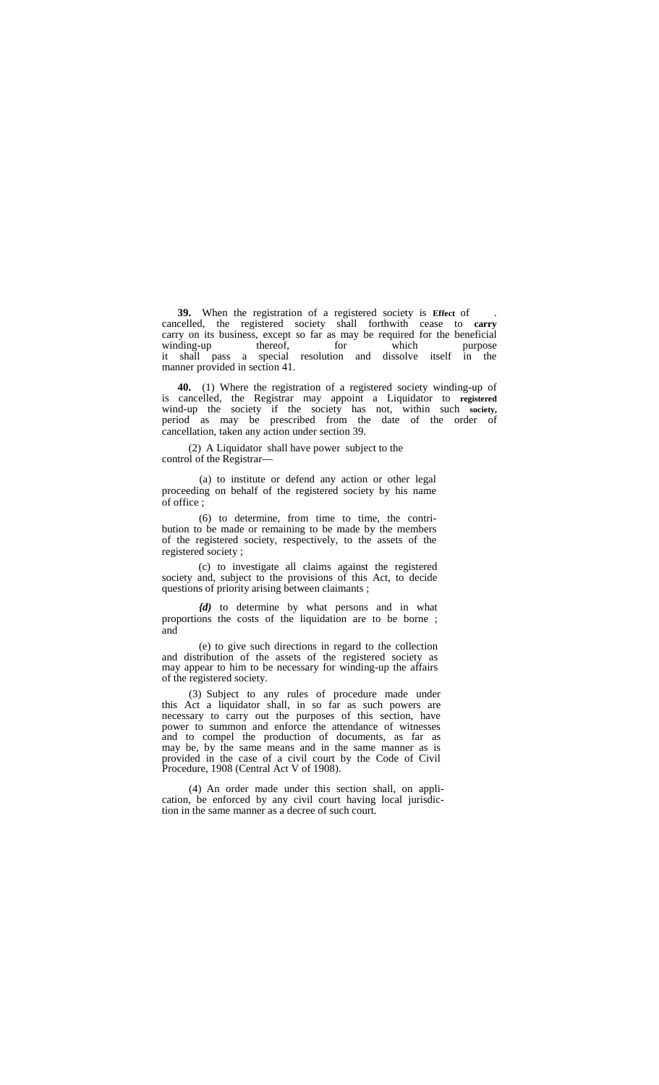**39.** When the registration of a registered society is **Effect** of . cancelled, the registered society shall forthwith cease to **carry** carry on its business, except so far as may be required for the beneficial winding-up thereof, for which purpose it shall pass a special resolution and dissolve itself in the manner provided in section 41.

**40.** (1) Where the registration of a registered society winding-up of is cancelled, the Registrar may appoint a Liquidator to **registered** wind-up the society if the society has not, within such **society,** period as may be prescribed from the date of the order of cancellation, taken any action under section 39.

(2) A Liquidator shall have power subject to the control of the Registrar—

(a) to institute or defend any action or other legal proceeding on behalf of the registered society by his name of office ;

(6) to determine, from time to time, the contri bution to be made or remaining to be made by the members of the registered society, respectively, to the assets of the registered society ;

(c) to investigate all claims against the registered society and, subject to the provisions of this Act, to decide questions of priority arising between claimants ;

*{d)* to determine by what persons and in what proportions the costs of the liquidation are to be borne ; and

(e) to give such directions in regard to the collection and distribution of the assets of the registered society as may appear to him to be necessary for winding-up the affairs of the registered society.

(3) Subject to any rules of procedure made under this Act a liquidator shall, in so far as such powers are necessary to carry out the purposes of this section, have power to summon and enforce the attendance of witnesses and to compel the production of documents, as far as may be, by the same means and in the same manner as is provided in the case of a civil court by the Code of Civil Procedure, 1908 (Central Act V of 1908).

(4) An order made under this section shall, on appli cation, be enforced by any civil court having local jurisdiction in the same manner as a decree of such court.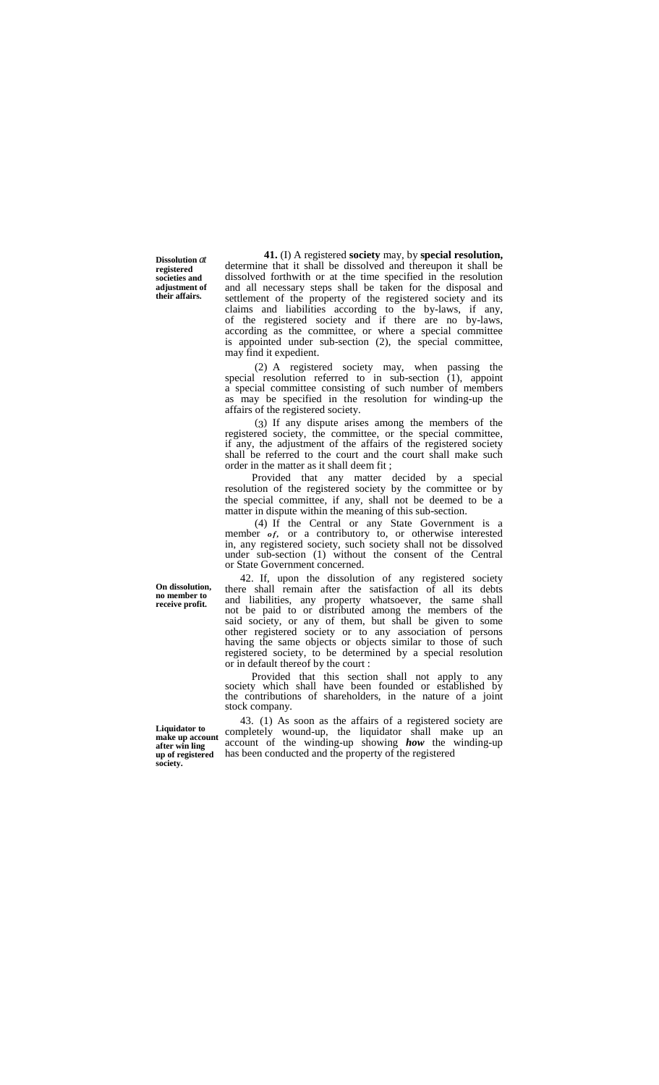**Dissolution** *at* **registered societies and adjustment of their affairs.**

**41.** (I) A registered **society** may, by **special resolution,** determine that it shall be dissolved and thereupon it shall be dissolved forthwith or at the time specified in the resolution and all necessary steps shall be taken for the disposal and settlement of the property of the registered society and its claims and liabilities according to the by-laws, if any, of the registered society and if there are no by-laws, according as the committee, or where a special committee is appointed under sub-section (2), the special committee, may find it expedient.

(2) A registered society may, when passing the special resolution referred to in sub-section  $(1)$ , appoint a special committee consisting of such number of members as may be specified in the resolution for winding-up the affairs of the registered society.

(3) If any dispute arises among the members of the registered society, the committee, or the special committee, if any, the adjustment of the affairs of the registered society shall be referred to the court and the court shall make such order in the matter as it shall deem fit ;

Provided that any matter decided by a special resolution of the registered society by the committee or by the special committee, if any, shall not be deemed to be a matter in dispute within the meaning of this sub-section.

(4) If the Central or any State Government is a resolution of the registered society by the committee or by<br>the special committee, if any, shall not be deemed to be a<br>matter in dispute within the meaning of this sub-section.<br>(4) If the Central or any State Government is under sub-section (1) without the consent of the Central or State Government concerned.

42. If, upon the dissolution of any registered society there shall remain after the satisfaction of all its debts and liabilities, any property whatsoever, the same shall not be paid to or distributed among the members of the said society, or any of them, but shall be given to some other registered society or to any association of persons having the same objects or objects similar to those of such registered society, to be determined by a special resolution or in default thereof by the court :

Provided that this section shall not apply to any society which shall have been founded or established by the contributions of shareholders, in the nature of a joint stock company.

43. (1) As soon as the affairs of a registered society are completely wound-up, the liquidator shall make up an account of the winding-up showing *how* the winding-up has been conducted and the property of the registered

**On dissolution, no member to receive profit.**

**Liquidator to make up account after win ling up of registered society.**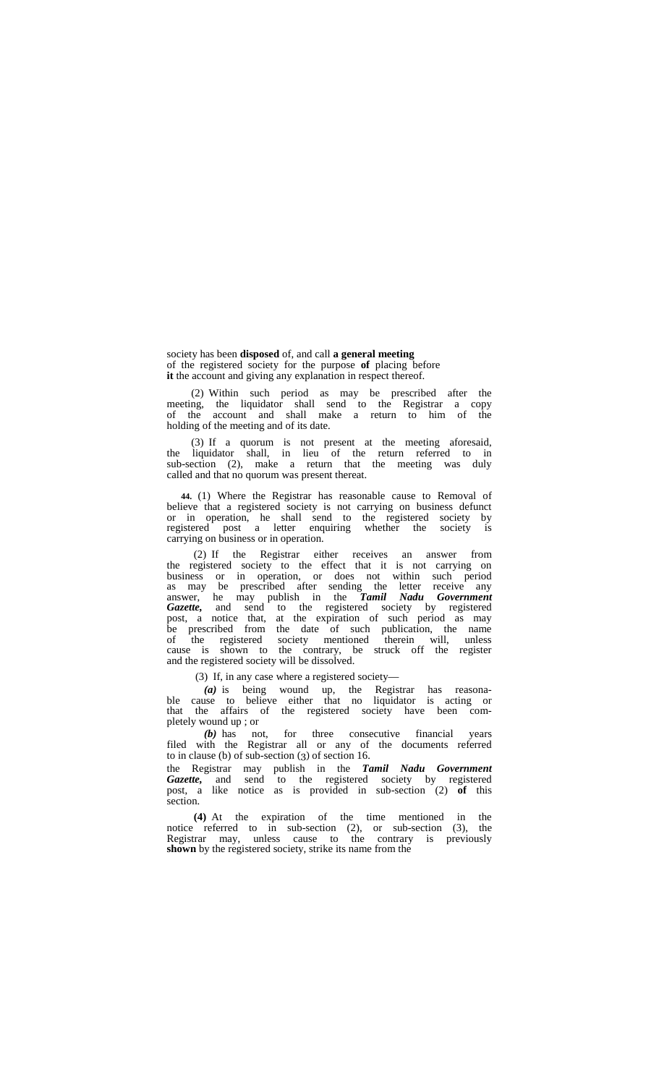society has been **disposed** of, and call **a general meeting** of the registered society for the purpose **of** placing before **it** the account and giving any explanation in respect thereof.

(2) Within such period as may be prescribed after the meeting, the liquidator shall send to the Registrar a copy of the account and shall make a return to him of the holding of the meeting and of its date.

(3) If a quorum is not present at the meeting aforesaid, the liquidator shall, in lieu of the return referred to in sub-section (2), make a return that the meeting was duly called and that no quorum was present thereat.

**44.** (1) Where the Registrar has reasonable cause to Removal of believe that a registered society is not carrying on business defunct or in operation, he shall send to the registered society by registered post a letter enquiring whether the society is carrying on business or in operation.

(2) If the Registrar either receives an answer from the registered society to the effect that it is not carrying on business or in operation, or does not within such period as may be prescribed after sending the letter receive any answer, he may publish in the *Tamil Nadu Government Gazette,* and send to the registered society by registered post, a notice that, at the expiration of such period as may be prescribed from the date of such publication, the name of the registered society mentioned therein will, unless cause is shown to the contrary, be struck off the register and the registered society will be dissolved.

(3) If, in any case where a registered society—

*(a)* is being wound up, the Registrar has reasona- ble cause to believe either that no liquidator is acting or that the affairs of the registered society have been com-<br>pletely wound up ; or

*(b)* has not, for three consecutive financial years filed with the Registrar all or any of the documents referred to in clause (b) of sub-section (3) of section 16.

the Registrar may publish in the *Tamil Nadu Government Gazette,* and send to the registered society by registered post, a like notice as is provided in sub-section (2) **of** this section.

**(4)** At the expiration of the time mentioned in the notice referred to in sub-section (2), or sub-section (3), the Registrar may, unless cause to the contrary is previously **shown** by the registered society, strike its name from the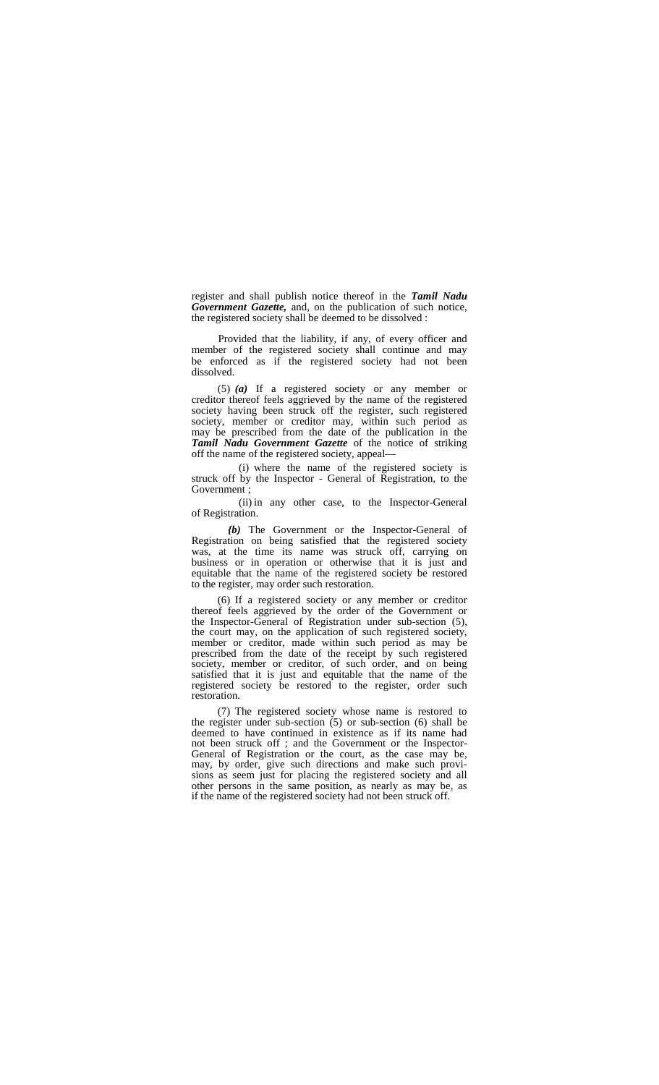register and shall publish notice thereof in the *Tamil Nadu Government Gazette,* and, on the publication of such notice, the registered society shall be deemed to be dissolved :

Provided that the liability, if any, of every officer and member of the registered society shall continue and may be enforced as if the registered society had not been dissolved.

(5) *(a)* If a registered society or any member or creditor thereof feels aggrieved by the name of the registered society having been struck off the register, such registered society, member or creditor may, within such period as may be prescribed from the date of the publication in the *Tamil Nadu Government Gazette* of the notice of striking off the name of the registered society, appeal—

(i) where the name of the registered society is struck off by the Inspector - General of Registration, to the Government :

(ii) in any other case, to the Inspector-General of Registration.

*{b)* The Government or the Inspector-General of Registration on being satisfied that the registered society was, at the time its name was struck off, carrying on business or in operation or otherwise that it is just and equitable that the name of the registered society be restored to the register, may order such restoration.

(6) If a registered society or any member or creditor thereof feels aggrieved by the order of the Government or the Inspector-General of Registration under sub-section (5), the court may, on the application of such registered society, member or creditor, made within such period as may be prescribed from the date of the receipt by such registered society, member or creditor, of such order, and on being satisfied that it is just and equitable that the name of the registered society be restored to the register, order such restoration.

(7) The registered society whose name is restored to the register under sub-section (5) or sub-section (6) shall be deemed to have continued in existence as if its name had not been struck off ; and the Government or the Inspector-<br>General of Registration or the court, as the case may be,<br>may, by order, give such directions and make such provimay, by order, give such directions and make such provi- sions as seem just for placing the registered society and all other persons in the same position, as nearly as may be, as if the name of the registered society had not been struck off.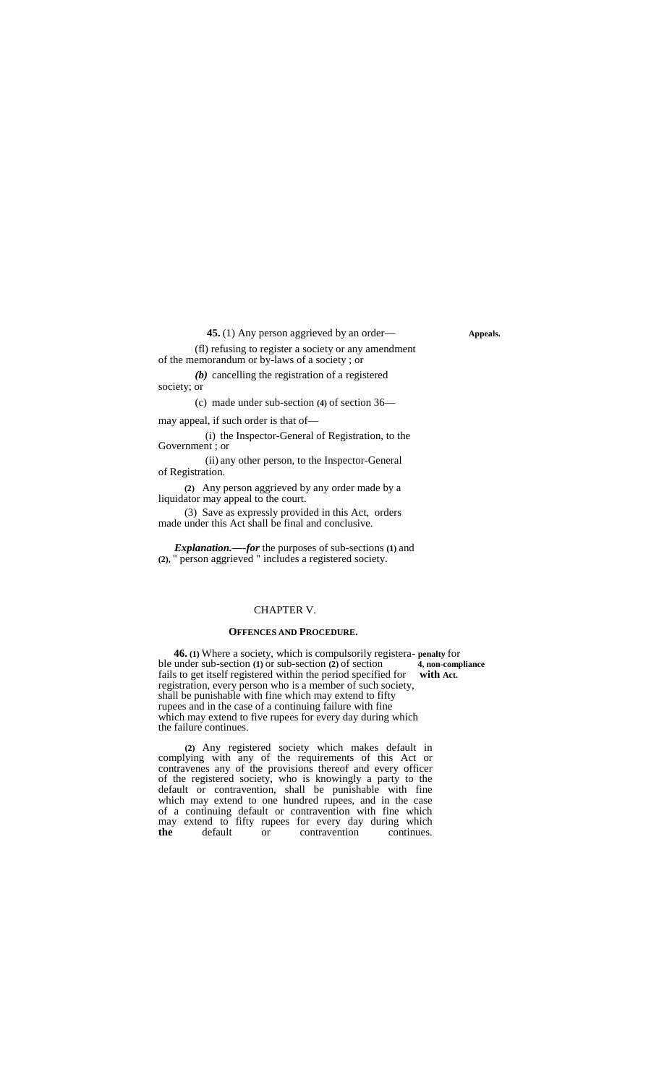**45.** (1) Any person aggrieved by an order— **Appeals.** 

(fl) refusing to register a society or any amendment of the memorandum or by-laws of a society ; or

*(b)* cancelling the registration of a registered society; or

(c) made under sub-section **(4)** of section 36—

may appeal, if such order is that of—

(i) the Inspector-General of Registration, to the Government ; or

(ii) any other person, to the Inspector-General of Registration.

**(2)** Any person aggrieved by any order made by a liquidator may appeal to the court.

(3) Save as expressly provided in this Act, orders made under this Act shall be final and conclusive.

*Explanation.—-for* the purposes of sub-sections **(1)** and **(2),** " person aggrieved " includes a registered society.

## CHAPTER V.

#### **OFFENCES AND PROCEDURE.**

**46.** (1) Where a society, which is compulsorily registera- penalty for under sub-section (1) or sub-section (2) of section 4, non-compliance ble under sub-section **(1)** or sub-section **(2)** of section fails to get itself registered within the period specified for **with Act.** registration, every person who is a member of such society, shall be punishable with fine which may extend to fifty rupees and in the case of a continuing failure with fine which may extend to five rupees for every day during which the failure continues.

**(2)** Any registered society which makes default in complying with any of the requirements of this Act or contravenes any of the provisions thereof and every officer of the registered society, who is knowingly a party to the default or contravention, shall be punishable with fine which may extend to one hundred rupees, and in the case of a continuing default or contravention with fine which may extend to fifty rupees for every day during which **the** default or contravention continues.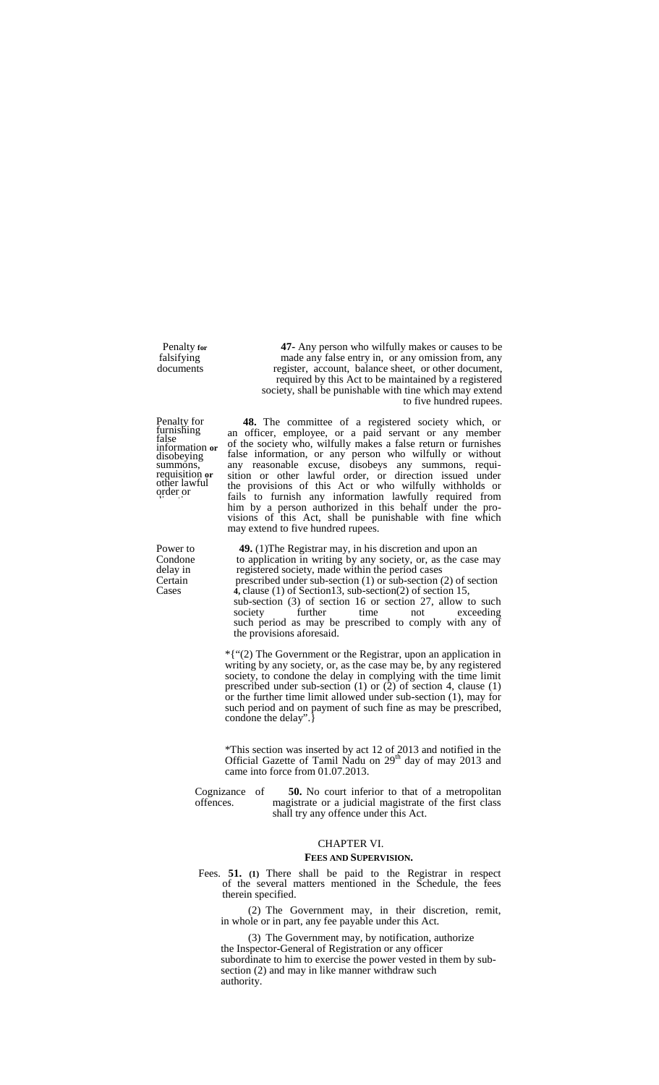Penalty for furnishing<br>false false c information or <sup>OI II</sup><br>disobeying false summons, requisition **or**other lawful order or direction.

Penalty **for 47-** Any person who wilfully makes or causes to be falsifying made any false entry in, or any omission from, any falsifying made any false entry in, or any omission from, any documents register, account, balance sheet, or other document, register, account, balance sheet, or other document, required by this Act to be maintained by a registered society, shall be punishable with tine which may extend to five hundred rupees.

> **48.** The committee of a registered society which, or an officer, employee, or a paid servant or any member of the society who, wilfully makes a false return or furnishes false information, or any person who wilfully or without any reasonable excuse, disobeys any summons, requi- sition or other lawful order, or direction issued under the provisions of this Act or who wilfully withholds or fails to furnish any information lawfully required from him by a person authorized in this behalf under the pro- visions of this Act, shall be punishable with fine which may extend to five hundred rupees.

Power to **49.** (1)The Registrar may, in his discretion and upon an Condone to application in writing by any society, or, as the case Condone to application in writing by any society, or, as the case may delay in registered society, made within the period cases delay in registered society, made within the period cases<br>Certain resecribed under sub-section (1) or sub-section ( prescribed under sub-section  $(1)$  or sub-section  $(2)$  of section Cases **4,** clause (1) of Section13, sub-section(2) of section 15, sub-section  $(3)$  of section 16 or section 27, allow to such<br>society further time not exceeding society further time not exceeding such period as may be prescribed to comply with any of the provisions aforesaid.

> \*{"(2) The Government or the Registrar, upon an application in writing by any society, or, as the case may be, by any registered society, to condone the delay in complying with the time limit prescribed under sub-section  $(1)$  or  $(2)$  of section 4, clause  $(1)$ or the further time limit allowed under sub-section (1), may for such period and on payment of such fine as may be prescribed, condone the delay".}

\*This section was inserted by act 12 of 2013 and notified in the Official Gazette of Tamil Nadu on 29<sup>th</sup> day of may 2013 and came into force from 01.07.2013.

Cognizance of **50.** No court inferior to that of a metropolitan offences. magistrate or a judicial magistrate of the first class magistrate or a judicial magistrate of the first class shall try any offence under this Act.

# CHAPTER VI.

# **FEES AND SUPERVISION.**

Fees. **51. (1)** There shall be paid to the Registrar in respect of the several matters mentioned in the Schedule, the fees therein specified.

(2) The Government may, in their discretion, remit, in whole or in part, any fee payable under this Act.

(3) The Government may, by notification, authorize the Inspector-General of Registration or any officer subordinate to him to exercise the power vested in them by sub-section (2) and may in like manner withdraw such authority.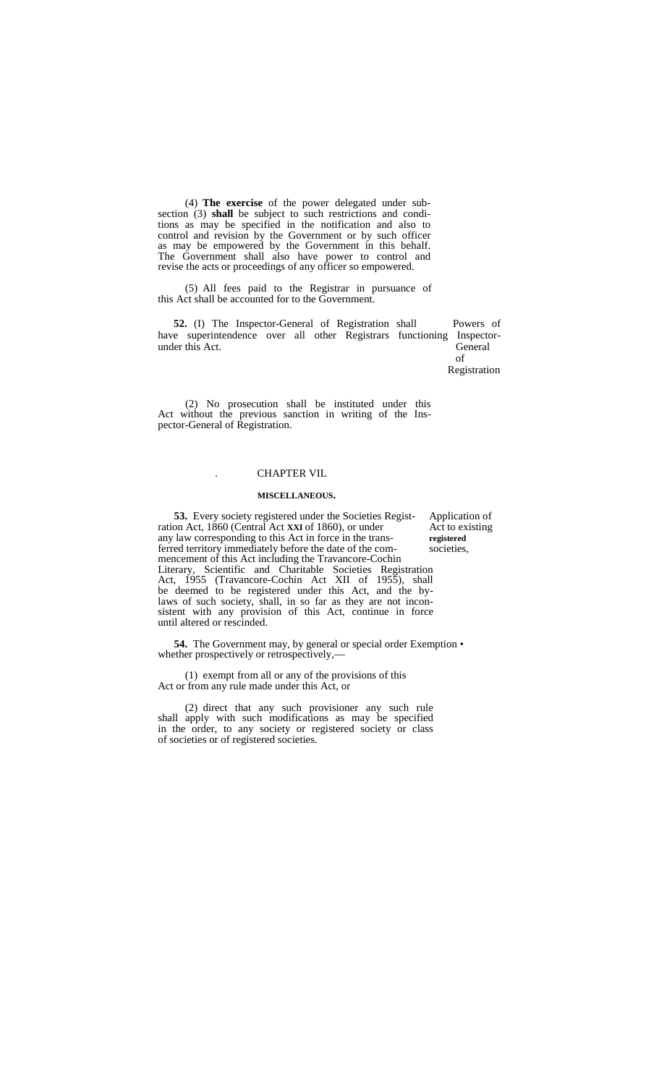(4) **The exercise** of the power delegated under sub- section (3) **shall** be subject to such restrictions and conditions as may be specified in the notification and also to control and revision by the Government or by such officer as may be empowered by the Government in this behalf. The Government shall also have power to control and revise the acts or proceedings of any officer so empowered.

(5) All fees paid to the Registrar in pursuance of this Act shall be accounted for to the Government.

**52.** (I) The Inspector-General of Registration shall Powers of have superintendence over all other Registrars functioning Inspector-<br>under this Act. General under this Act.

Registration

of

(2) No prosecution shall be instituted under this Act without the previous sanction in writing of the Ins- pector-General of Registration.

#### . CHAPTER VIL

#### **MISCELLANEOUS.**

**53.** Every society registered under the Societies Regist-<br>on Act, 1860 (Central Act XXI of 1860), or under<br>Act to existing ration Act, 1860 (Central Act **XXI** of 1860), or under Act to examy law corresponding to this Act in force in the transany law corresponding to this Act in force in the trans- **registered** ferred territory immediately before the date of the commencement of this Act including the Travancore-Cochin Literary, Scientific and Charitable Societies Registration Act, 1955 (Travancore-Cochin Act XII of 1955), shall be deemed to be registered under this Act, and the bylaws of such society, shall, in so far as they are not incon-<br>sistent with any provision of this Act, continue in force until altered or rescinded.

**54.** The Government may, by general or special order Exemption • whether prospectively or retrospectively,-

(1) exempt from all or any of the provisions of this Act or from any rule made under this Act, or

(2) direct that any such provisioner any such rule shall apply with such modifications as may be specified in the order, to any society or registered society or class of societies or of registered societies.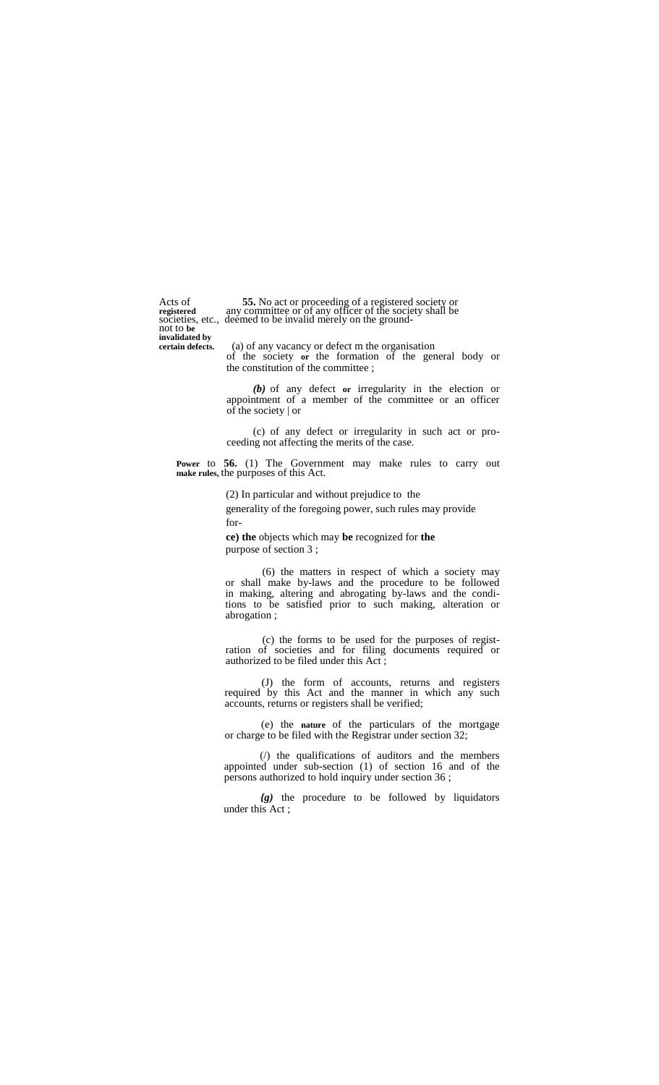**invalidated by**

Acts of **55.** No act or proceeding of a registered society or **registered** any committee or of any officer of the society shall be societies, etc., deemed to be invalid merely on the ground-<br>not to be

(a) of any vacancy or defect m the organisation of the society **or** the formation of the general body or the constitution of the committee ;

*(b)* of any defect **or** irregularity in the election or appointment of a member of the committee or an officer of the society | or

(c) of any defect or irregularity in such act or pro- ceeding not affecting the merits of the case.

**Power** to **56.** (1) The Government may make rules to carry out **make rules,** the purposes of this Act.

> (2) In particular and without prejudice to the generality of the foregoing power, such rules may provide for-

**ce) the** objects which may **be** recognized for **the** purpose of section 3 ;

(6) the matters in respect of which a society may or shall make by-laws and the procedure to be followed in making, altering and abrogating by-laws and the conditions to be satisfied prior to such making, alteration or abrogation ;

(c) the forms to be used for the purposes of registration of societies and for filing documents required or authorized to be filed under this Act ;

(J) the form of accounts, returns and registers required by this Act and the manner in which any such accounts, returns or registers shall be verified;

(e) the **nature** of the particulars of the mortgage or charge to be filed with the Registrar under section 32;

(/) the qualifications of auditors and the members appointed under sub-section (1) of section 16 and of the persons authorized to hold inquiry under section 36 ;

*{g)* the procedure to be followed by liquidators under this Act;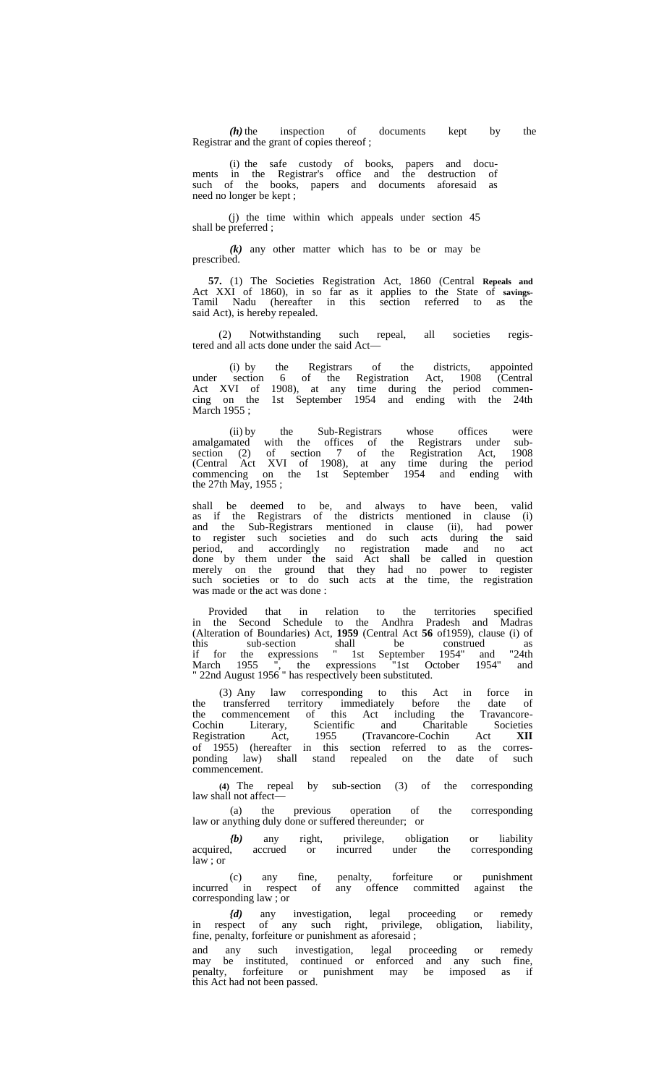*(h)* the inspection of documents kept by the Registrar and the grant of copies thereof ;

(i) the safe custody of books, papers and docu- ments in the Registrar's office and the destruction of such of the books, papers and documents aforesaid as need no longer be kept ;

(j) the time within which appeals under section 45 shall be preferred ;

*(k)* any other matter which has to be or may be prescribed.

**57.** (1) The Societies Registration Act, 1860 (Central **Repeals and** Act XXI of 1860), in so far as it applies to the State of **savings-** Tamil Nadu (hereafter in this section referred to as the said Act), is hereby repealed.

(2) Notwithstanding such repeal, all societies regis-

tered and all acts done under the said Act—<br>
(i) by the Registrars of<br>
under section 6 of (i) by the Registrars of the districts, appointed under section 6 of the Registration Act, 1908 (Central Act XVI of 1908), at any time during the period commen cing on the 1st September 1954 and ending with the 24th March 1955;

(ii) by the Sub-Registrars whose offices were amalgamated with the offices of the Registrars under sub- section (2) of section 7 of the Registration Act, 1908 (Central Act XVI of 1908), at any time during the period commencing on the 1st September 1954 and ending with the 27th May, 1955 ;

shall be deemed to be, and always to have been, valid as if the Registrars of the districts mentioned in clause (i) and the Sub-Registrars mentioned in clause (ii), had power to register such societies and do such acts during the said period, and accordingly no registration made and no act done by them under the said Act shall be called in question merely on the ground that they had no power to register such societies or to do such acts at the time, the registration was made or the act was done :

Provided that in relation to the territories specified in the Second Schedule to the Andhra Pradesh and Madras (Alteration of Boundaries) Act, **1959** (Central Act **56** of1959), clause (i) of this sub-section shall be construed as if for the expressions " 1st September 1954" and "24th March 1955 ", the expressions "1st October 1954" and Aarch 1955 ", the expressions "1st Oc<br>22nd August 1956 " has respectively been substituted.

(3) Any law corresponding to this Act in force in the transferred territory immediately before the date of the commencement of this Act including the Travancore- Cochin Literary, Scientific and Charitable Societies Registration Act, 1955 (Travancore-Cochin Act **XII** of 1955) (hereafter in this section referred to as the corres ponding law) shall stand repealed on the date of such commencement.

**(4)** The repeal by sub-section (3) of the corresponding law shall not affect-

(a) the previous operation of the corresponding law or anything duly done or suffered thereunder; or

*(b)* any right, privilege, obligation or liability acquired, accrued or incurred under the corresponding incurred under the corresponding  $law: or$ 

(c) any fine, penalty, forfeiture or punishment incurred in respect of any offence committed against the (c) any fine,<br>incurred in respect of<br>corresponding law ; or

*{d)* any investigation, legal proceeding or remedy in respect of any such right, privilege, obligation, liability, fine, penalty, forfeiture or punishment as aforesaid ;

and any such investigation, legal proceeding or remedy may be instituted, continued or enforced and any such fine, penalty, forfeiture or punishment may be imposed as if this Act had not been passed.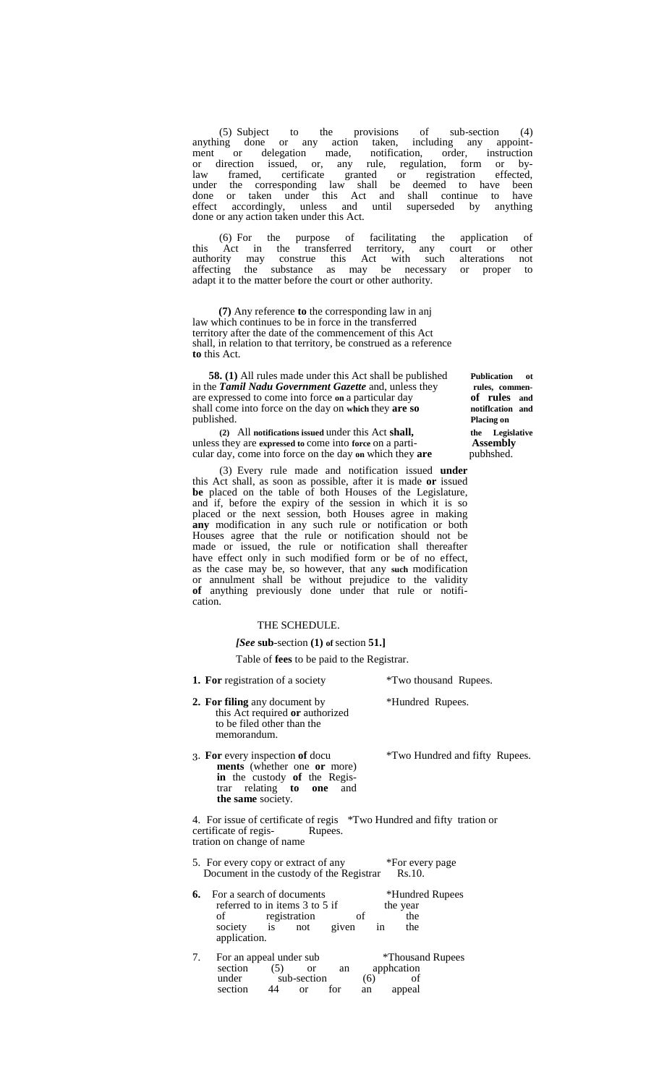(5) Subject to the provisions of sub-section (4) anything done or any action taken, including any appoint- ment or delegation made, notification, order, instruction or direction issued, or, any rule, regulation, form or bylaw framed, certificate granted or registration effected, under the corresponding law shall be deemed to have been done or taken under this Act and shall continue to have effect accordingly, unless and until superseded by anything done or any action taken under this Act.

(6) For the purpose of facilitating the application of this Act in the transferred territory, any court or other authority may construe this Act with such alterations not affecting the substance as may be necessary or proper to adapt it to the matter before the court or other authority.

**(7)** Any reference **to** the corresponding law in anj law which continues to be in force in the transferred territory after the date of the commencement of this Act shall, in relation to that territory, be construed as a reference **to** this Act.

**58. (1)** All rules made under this Act shall be published **Publication** othe **Tamil Nadu Government Gazette** and, unless they rules, commenin the **Tamil Nadu Government Gazette** and, unless they **rules, commentaries** expressed to come into force on a particular day **of rules** and are expressed to come into force **on** a particular day **of rules and** shall come into force on the day on which they **are so notiflcation** published. Placing on published.

**(2)** All **notifications issued** under this Act **shall, the Legislative** unless they are expressed to come into force on a parti-<br>cular day, come into force on the day on which they **are** pubhshed. cular day, come into force on the day on which they are

(3) Every rule made and notification issued **under** this Act shall, as soon as possible, after it is made **or** issued **be** placed on the table of both Houses of the Legislature, and if, before the expiry of the session in which it is so placed or the next session, both Houses agree in making **any** modification in any such rule or notification or both Houses agree that the rule or notification should not be made or issued, the rule or notification shall thereafter have effect only in such modified form or be of no effect, as the case may be, so however, that any **such** modification or annulment shall be without prejudice to the validity **of** anything previously done under that rule or notifi cation.

#### THE SCHEDULE.

*[See* **sub**-section **(1) of** section **51.]**

Table of **fees** to be paid to the Registrar.

- **1. For** registration of a society \*Two thousand Rupees. **2. For filing** any document by \*Hundred Rupees. this Act required **or** authorized to be filed other than the memorandum. 3. **For** every inspection **of** docu \*Two Hundred and fifty Rupees. **ments** (whether one **or** more) **in** the custody **of** the Registrar relating **to one** and **the same** society. 4. For issue of certificate of regis \*Two Hundred and fifty tration or certificate of regis- Rupees. tration on change of name 5. For every copy or extract of any \*For every page Document in the custody of the Registrar Rs.10. **6.** For a search of documents \*Hundred Rupees referred to in items 3 to 5 if the year referred to in items  $3$  to  $5$  if of registration of the
- society is not given in the application. 7. For an appeal under sub \*Thousand Rupees section (5) or an application section  $(5)$  or an apphcation under sub-section  $(6)$  of
	- under sub-section (6) of<br>section 44 or for an appeal an appeal